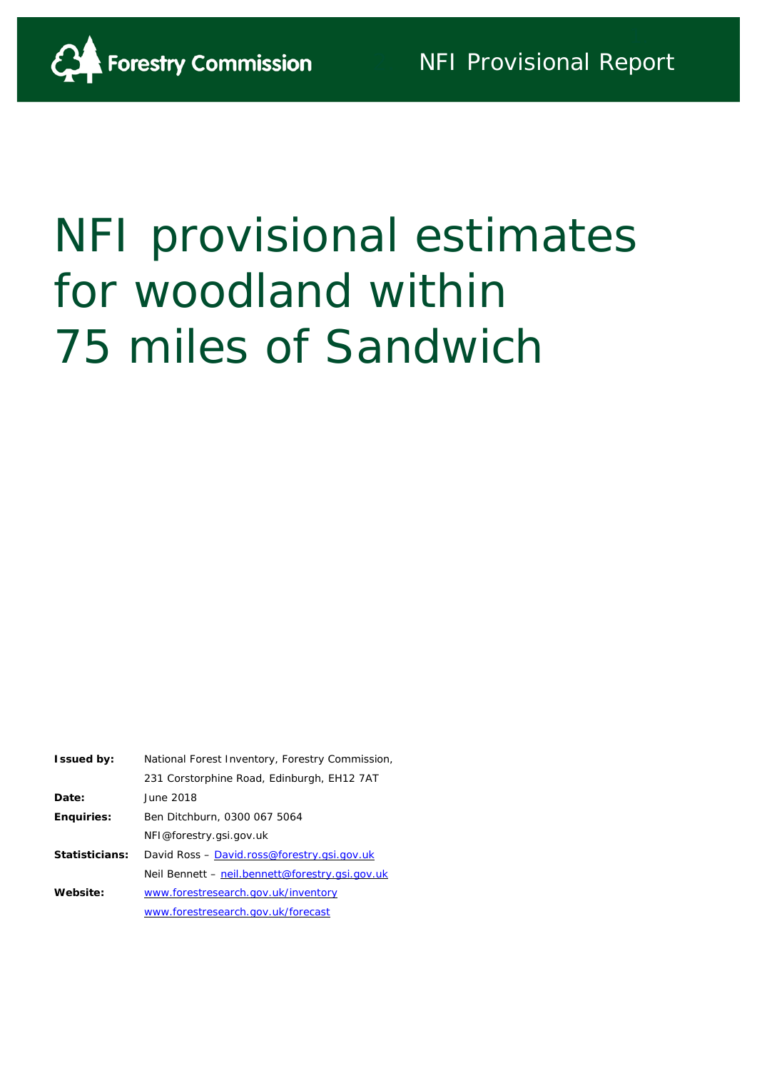

# NFI provisional estimates for woodland within 75 miles of Sandwich

| <b>Issued by:</b> | National Forest Inventory, Forestry Commission, |
|-------------------|-------------------------------------------------|
|                   | 231 Corstorphine Road, Edinburgh, EH12 7AT      |
| Date:             | June 2018                                       |
| <b>Enguiries:</b> | Ben Ditchburn, 0300 067 5064                    |
|                   | NFI@forestry.gsi.gov.uk                         |
| Statisticians:    | David Ross - David.ross@forestry.gsi.gov.uk     |
|                   | Neil Bennett – neil.bennett@forestry.gsi.gov.uk |
| Website:          | www.forestresearch.gov.uk/inventory             |
|                   | www.forestresearch.gov.uk/forecast              |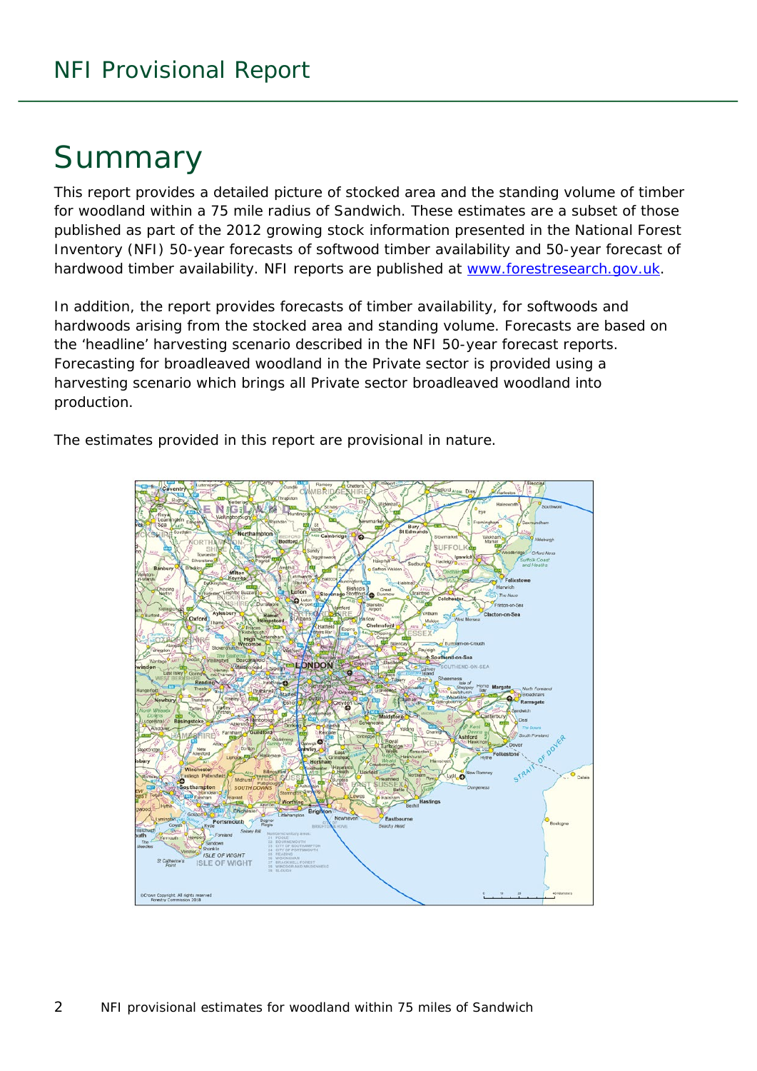## Summary

This report provides a detailed picture of stocked area and the standing volume of timber for woodland within a 75 mile radius of Sandwich. These estimates are a subset of those published as part of the 2012 growing stock information presented in the National Forest Inventory (NFI) *50-year forecasts of softwood timber availability* and *50-year forecast of hardwood timber availability*. NFI reports are published at [www.forestresearch.gov.uk.](http://www.forestresearch.gov.uk/)

In addition, the report provides forecasts of timber availability, for softwoods and hardwoods arising from the stocked area and standing volume. Forecasts are based on the 'headline' harvesting scenario described in the NFI 50-year forecast reports. Forecasting for broadleaved woodland in the Private sector is provided using a harvesting scenario which brings all Private sector broadleaved woodland into production.

The estimates provided in this report are provisional in nature.

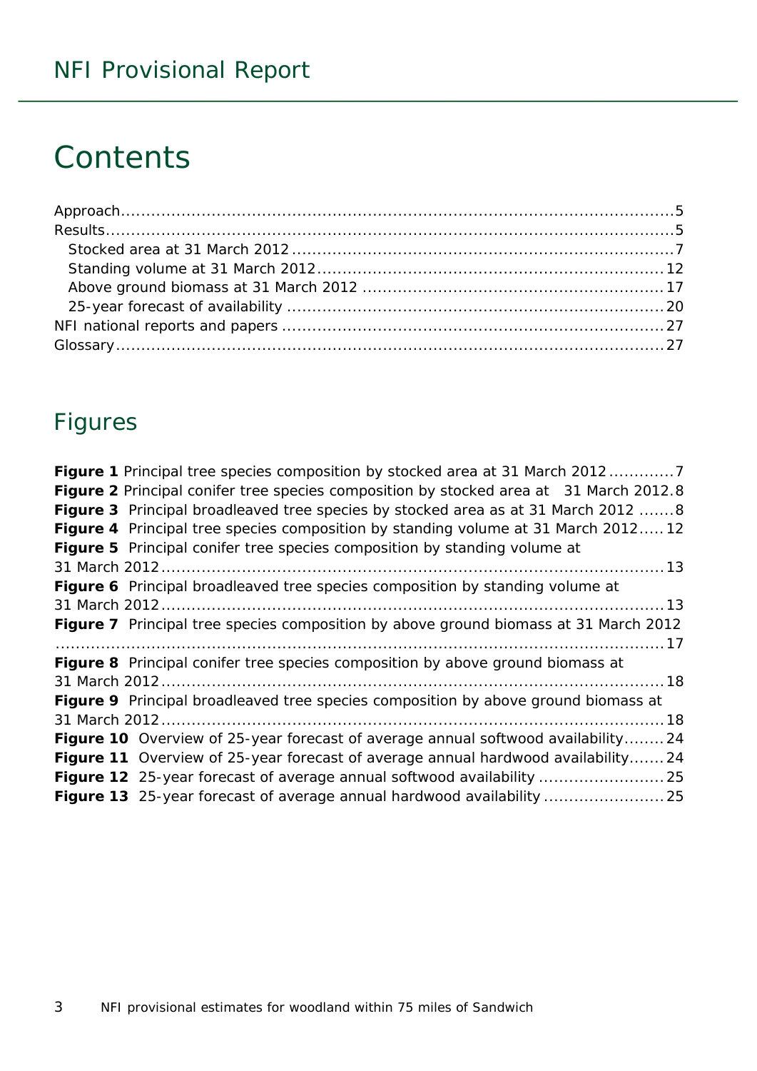## **Contents**

## Figures

| Figure 1 Principal tree species composition by stocked area at 31 March 20127             |
|-------------------------------------------------------------------------------------------|
| Figure 2 Principal conifer tree species composition by stocked area at 31 March 2012.8    |
| Figure 3 Principal broadleaved tree species by stocked area as at 31 March 2012 8         |
| Figure 4 Principal tree species composition by standing volume at 31 March 201212         |
| Figure 5 Principal conifer tree species composition by standing volume at                 |
|                                                                                           |
| Figure 6 Principal broadleaved tree species composition by standing volume at             |
|                                                                                           |
| Figure 7 Principal tree species composition by above ground biomass at 31 March 2012      |
|                                                                                           |
| Figure 8 Principal conifer tree species composition by above ground biomass at            |
|                                                                                           |
| <b>Figure 9</b> Principal broadleaved tree species composition by above ground biomass at |
|                                                                                           |
| Figure 10 Overview of 25-year forecast of average annual softwood availability 24         |
| Figure 11 Overview of 25-year forecast of average annual hardwood availability 24         |
| Figure 12 25-year forecast of average annual softwood availability  25                    |
|                                                                                           |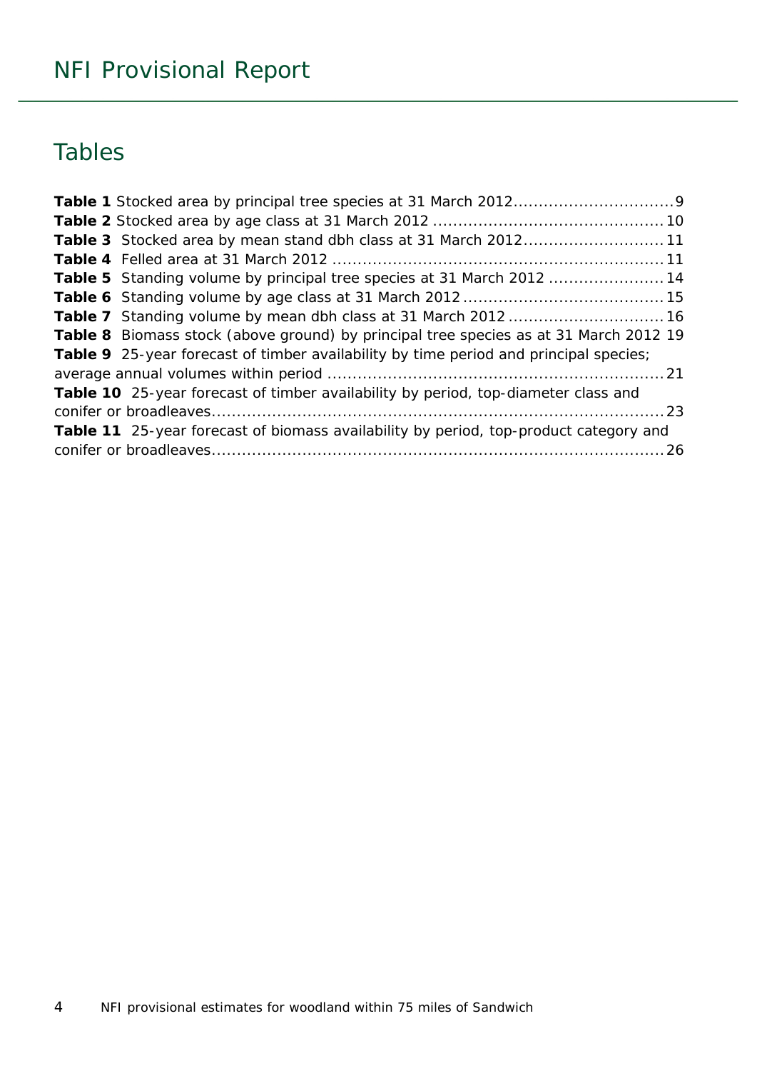## Tables

| Table 3 Stocked area by mean stand dbh class at 31 March 201211                       |  |
|---------------------------------------------------------------------------------------|--|
|                                                                                       |  |
| Table 5 Standing volume by principal tree species at 31 March 2012 14                 |  |
|                                                                                       |  |
|                                                                                       |  |
| Table 8 Biomass stock (above ground) by principal tree species as at 31 March 2012 19 |  |
| Table 9 25-year forecast of timber availability by time period and principal species; |  |
|                                                                                       |  |
| Table 10 25-year forecast of timber availability by period, top-diameter class and    |  |
|                                                                                       |  |
| Table 11 25-year forecast of biomass availability by period, top-product category and |  |
|                                                                                       |  |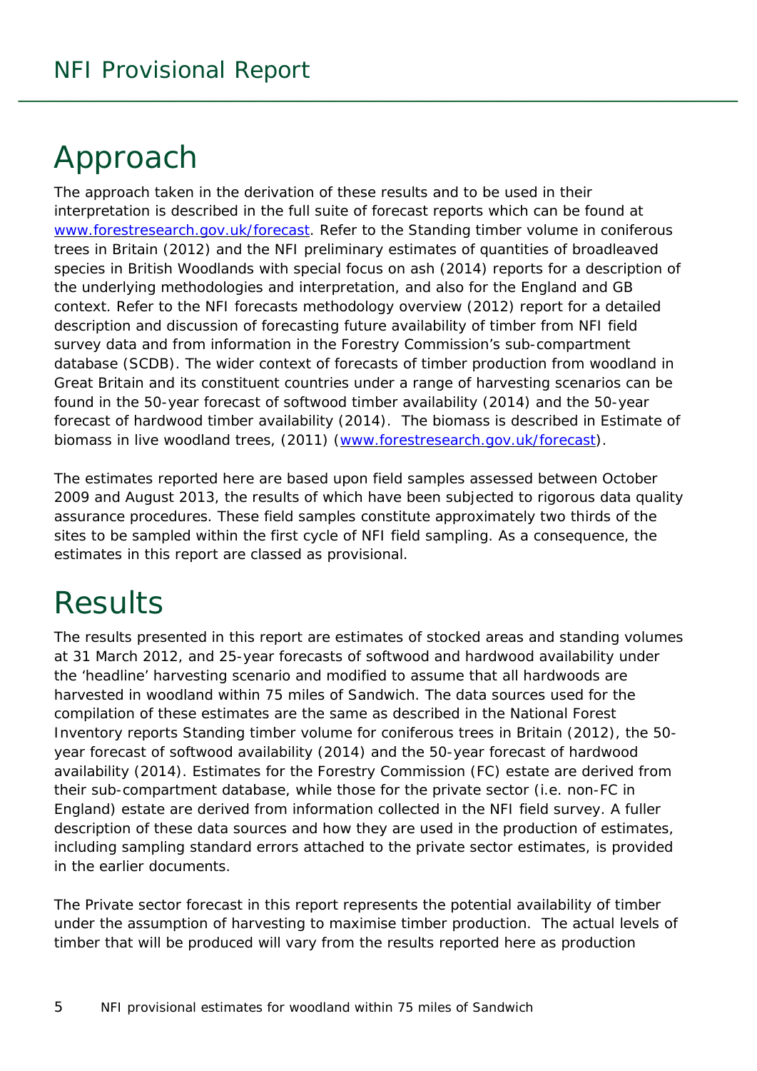## <span id="page-4-0"></span>Approach

The approach taken in the derivation of these results and to be used in their interpretation is described in the full suite of forecast reports which can be found at [www.forestresearch.gov.uk/forecast.](http://www.forestresearch.gov.uk/forecast) Refer to the *Standing timber volume in coniferous trees in Britain* (2012) and the *NFI preliminary estimates of quantities of broadleaved species in British Woodlands with special focus on ash* (2014) reports for a description of the underlying methodologies and interpretation, and also for the England and GB context. Refer to the *NFI forecasts methodology overview* (2012) report for a detailed description and discussion of forecasting future availability of timber from NFI field survey data and from information in the Forestry Commission's sub-compartment database (SCDB). The wider context of forecasts of timber production from woodland in Great Britain and its constituent countries under a range of harvesting scenarios can be found in the *50-year forecast of softwood timber availability* (2014) and the *50-year forecast of hardwood timber availability* (2014). The biomass is described in *Estimate of biomass in live woodland trees*, (2011) [\(www.forestresearch.gov.uk/forecast\)](http://www.forestresearch.gov.uk/forecast).

The estimates reported here are based upon field samples assessed between October 2009 and August 2013, the results of which have been subjected to rigorous data quality assurance procedures. These field samples constitute approximately two thirds of the sites to be sampled within the first cycle of NFI field sampling. As a consequence, the estimates in this report are classed as provisional.

## <span id="page-4-1"></span>**Results**

The results presented in this report are estimates of stocked areas and standing volumes at 31 March 2012, and 25-year forecasts of softwood and hardwood availability under the 'headline' harvesting scenario and modified to assume that all hardwoods are harvested in woodland within 75 miles of Sandwich. The data sources used for the compilation of these estimates are the same as described in the National Forest Inventory reports *Standing timber volume for coniferous trees in Britain* (2012), the *50 year forecast of softwood availability* (2014) and the *50-year forecast of hardwood availability* (2014). Estimates for the Forestry Commission (FC) estate are derived from their sub-compartment database, while those for the private sector (i.e. non-FC in England) estate are derived from information collected in the NFI field survey. A fuller description of these data sources and how they are used in the production of estimates, including sampling standard errors attached to the private sector estimates, is provided in the earlier documents.

The Private sector forecast in this report represents the potential availability of timber under the assumption of harvesting to maximise timber production. The actual levels of timber that will be produced will vary from the results reported here as production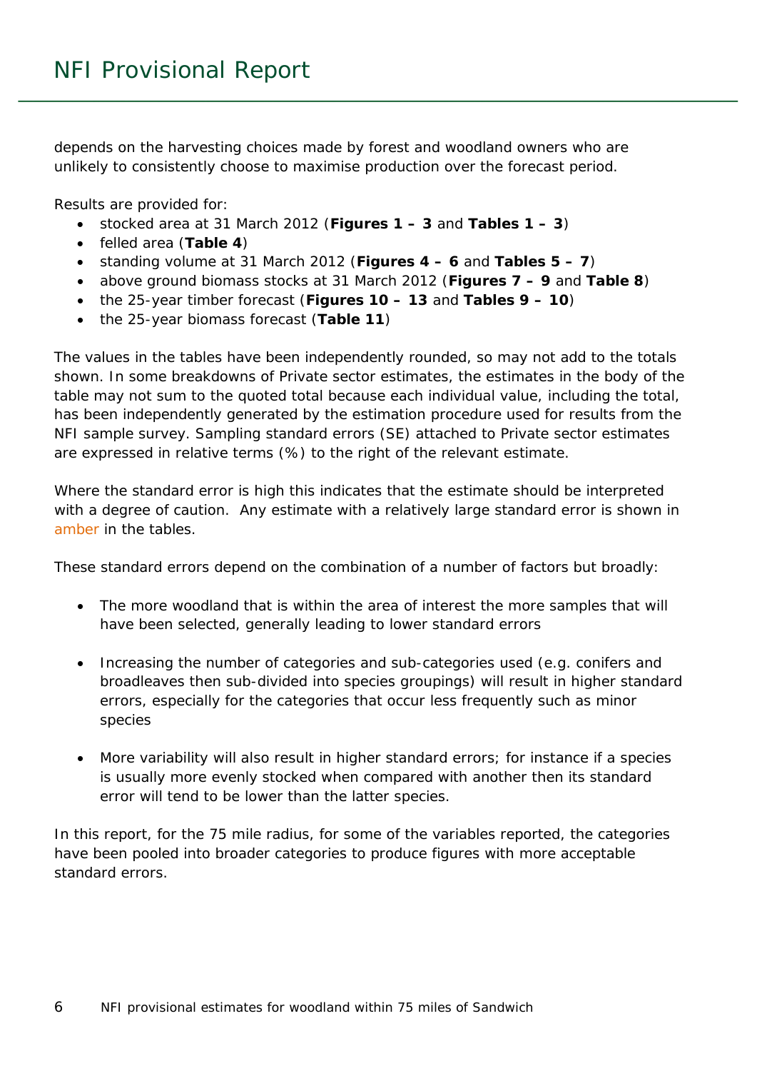depends on the harvesting choices made by forest and woodland owners who are unlikely to consistently choose to maximise production over the forecast period.

Results are provided for:

- stocked area at 31 March 2012 (**Figures 1 – 3** and **Tables 1 – 3**)
- felled area (**Table 4**)
- standing volume at 31 March 2012 (**Figures 4 – 6** and **Tables 5 – 7**)
- above ground biomass stocks at 31 March 2012 (**Figures 7 – 9** and **Table 8**)
- the 25-year timber forecast (**Figures 10 – 13** and **Tables 9 – 10**)
- the 25-year biomass forecast (**Table 11**)

The values in the tables have been independently rounded, so may not add to the totals shown. In some breakdowns of Private sector estimates, the estimates in the body of the table may not sum to the quoted total because each individual value, including the total, has been independently generated by the estimation procedure used for results from the NFI sample survey. Sampling standard errors (SE) attached to Private sector estimates are expressed in relative terms (%) to the right of the relevant estimate.

Where the standard error is high this indicates that the estimate should be interpreted with a degree of caution. Any estimate with a relatively large standard error is shown in amber in the tables.

These standard errors depend on the combination of a number of factors but broadly:

- The more woodland that is within the area of interest the more samples that will have been selected, generally leading to lower standard errors
- Increasing the number of categories and sub-categories used (e.g. conifers and broadleaves then sub-divided into species groupings) will result in higher standard errors, especially for the categories that occur less frequently such as minor species
- More variability will also result in higher standard errors; for instance if a species is usually more evenly stocked when compared with another then its standard error will tend to be lower than the latter species.

In this report, for the 75 mile radius, for some of the variables reported, the categories have been pooled into broader categories to produce figures with more acceptable standard errors.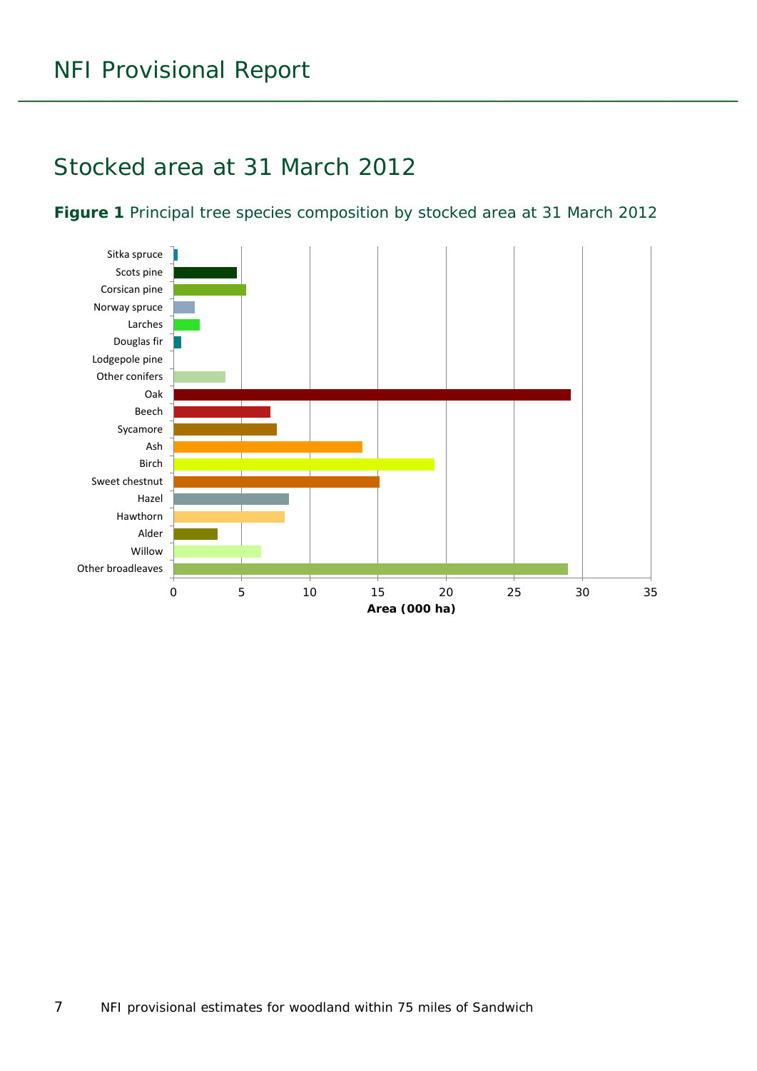### <span id="page-6-0"></span>Stocked area at 31 March 2012

#### <span id="page-6-1"></span>**Figure 1** Principal tree species composition by stocked area at 31 March 2012

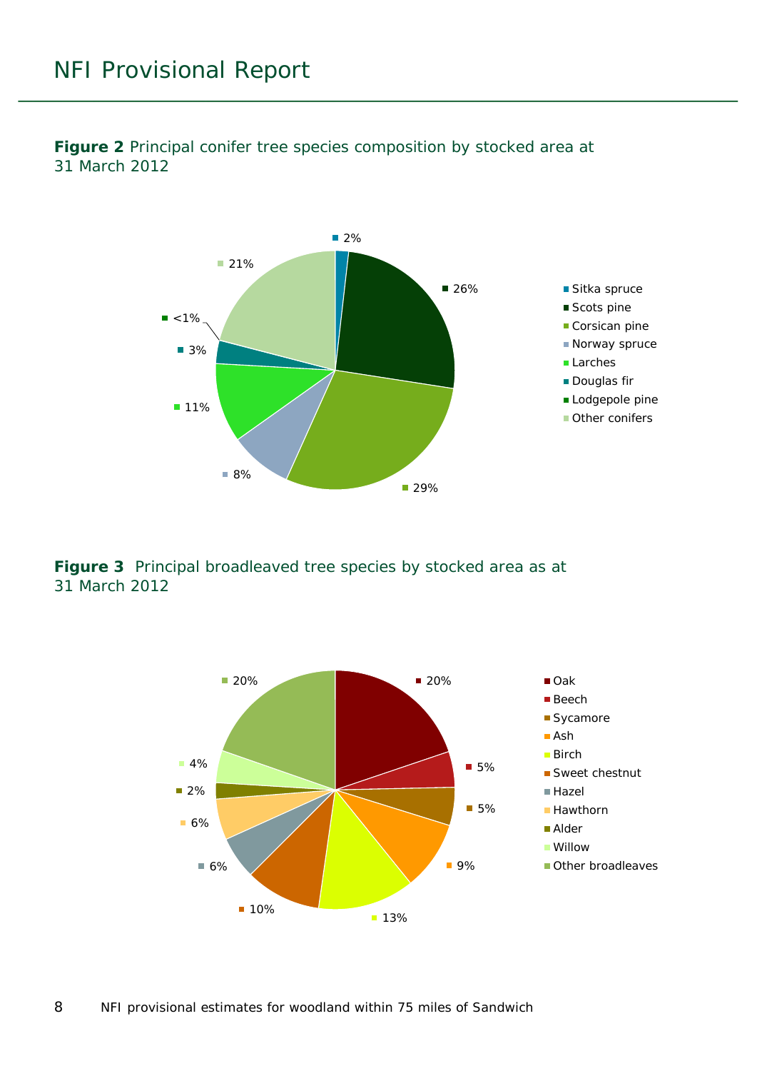

<span id="page-7-0"></span>**Figure 2** Principal conifer tree species composition by stocked area at 31 March 2012

<span id="page-7-1"></span>**Figure 3** Principal broadleaved tree species by stocked area as at 31 March 2012

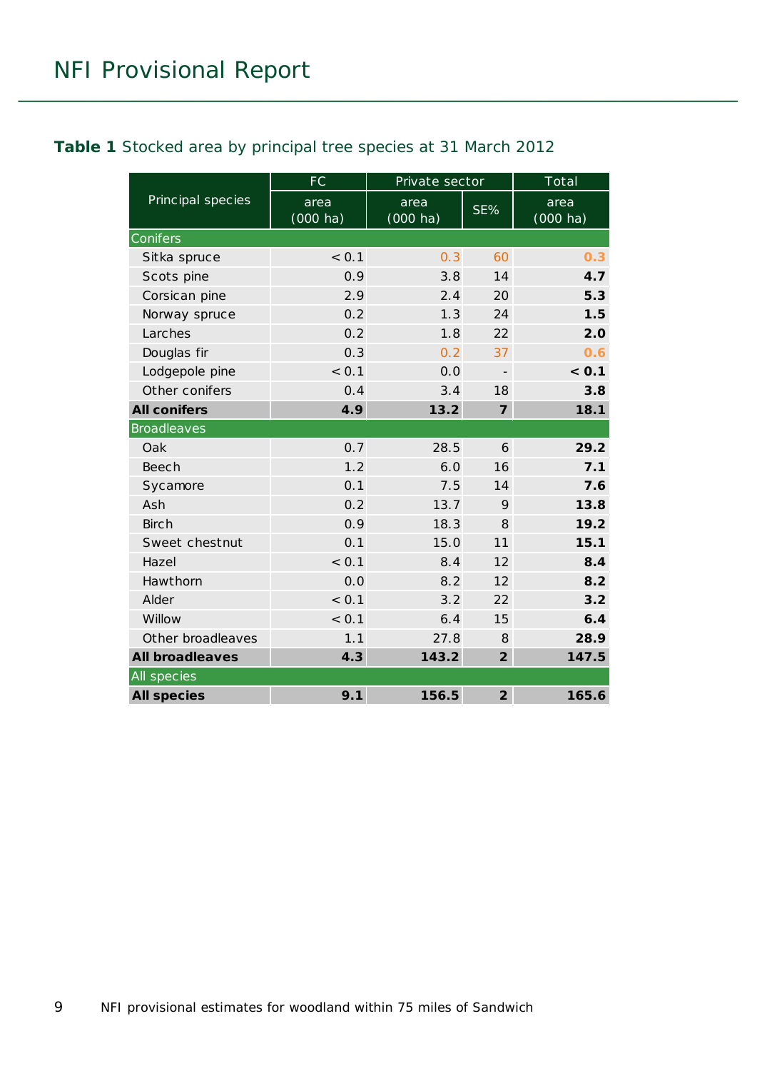#### <span id="page-8-0"></span>**Table 1** Stocked area by principal tree species at 31 March 2012

|                        | <b>FC</b>          | Private sector      |                          | Total                      |
|------------------------|--------------------|---------------------|--------------------------|----------------------------|
| Principal species      | area<br>$(000$ ha) | area<br>$(000)$ ha) | SE%                      | area<br>$(000 \text{ ha})$ |
| Conifers               |                    |                     |                          |                            |
| Sitka spruce           | < 0.1              | 0.3                 | 60                       | 0.3                        |
| Scots pine             | 0.9                | 3.8                 | 14                       | 4.7                        |
| Corsican pine          | 2.9                | 2.4                 | 20                       | 5.3                        |
| Norway spruce          | 0.2                | 1.3                 | 24                       | 1.5                        |
| Larches                | 0.2                | 1.8                 | 22                       | 2.0                        |
| Douglas fir            | 0.3                | 0.2                 | 37                       | 0.6                        |
| Lodgepole pine         | < 0.1              | 0.0                 | $\overline{\phantom{a}}$ | < 0.1                      |
| Other conifers         | 0.4                | 3.4                 | 18                       | 3.8                        |
| <b>All conifers</b>    | 4.9                | 13.2                | $\overline{7}$           | 18.1                       |
| <b>Broadleaves</b>     |                    |                     |                          |                            |
| Oak                    | 0.7                | 28.5                | 6                        | 29.2                       |
| Beech                  | 1.2                | 6.0                 | 16                       | 7.1                        |
| Sycamore               | 0.1                | 7.5                 | 14                       | 7.6                        |
| Ash                    | 0.2                | 13.7                | 9                        | 13.8                       |
| <b>Birch</b>           | 0.9                | 18.3                | 8                        | 19.2                       |
| Sweet chestnut         | 0.1                | 15.0                | 11                       | 15.1                       |
| Hazel                  | < 0.1              | 8.4                 | 12                       | 8.4                        |
| Hawthorn               | 0.0                | 8.2                 | 12                       | 8.2                        |
| Alder                  | < 0.1              | 3.2                 | 22                       | 3.2                        |
| Willow                 | < 0.1              | 6.4                 | 15                       | 6.4                        |
| Other broadleaves      | 1.1                | 27.8                | 8                        | 28.9                       |
| <b>All broadleaves</b> | 4.3                | 143.2               | $\overline{2}$           | 147.5                      |
| All species            |                    |                     |                          |                            |
| <b>All species</b>     | 9.1                | 156.5               | $\overline{2}$           | 165.6                      |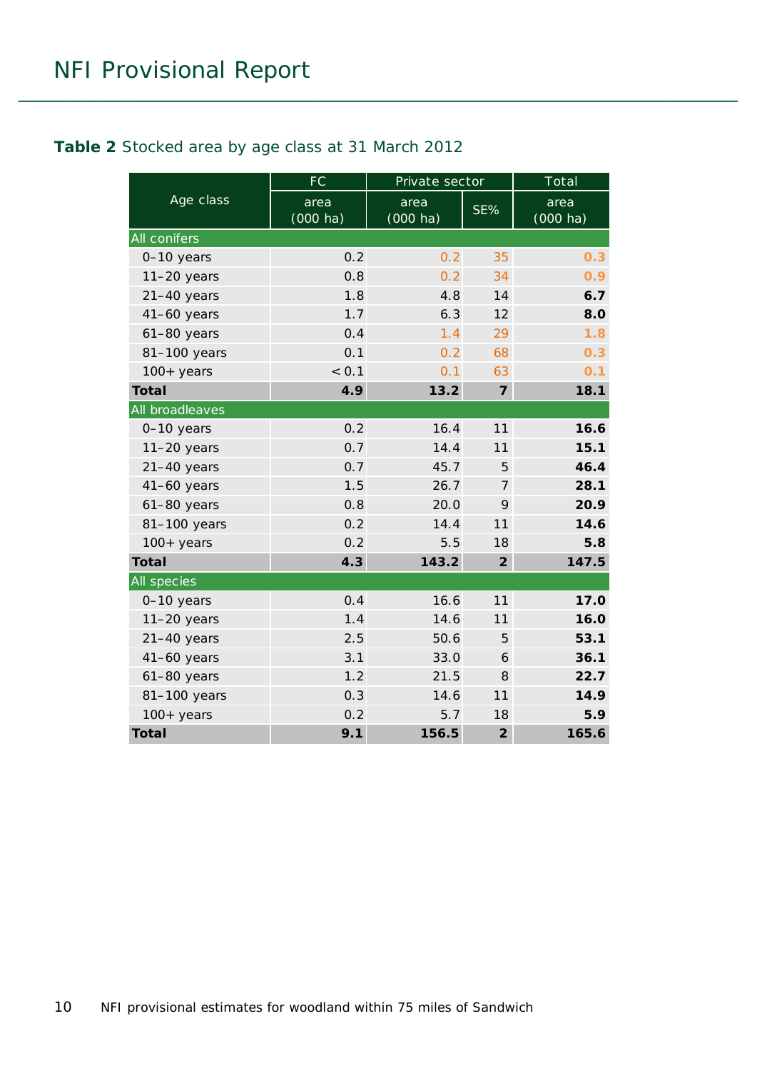#### <span id="page-9-0"></span>**Table 2** Stocked area by age class at 31 March 2012

|                    | FC                         | Private sector     |                | Total              |
|--------------------|----------------------------|--------------------|----------------|--------------------|
| Age class          | area<br>$(000 \text{ ha})$ | area<br>$(000$ ha) | SE%            | area<br>$(000$ ha) |
| All conifers       |                            |                    |                |                    |
| 0-10 years         | 0.2                        | 0.2                | 35             | 0.3                |
| $11-20$ years      | 0.8                        | 0.2                | 34             | 0.9                |
| $21-40$ years      | 1.8                        | 4.8                | 14             | 6.7                |
| $41-60$ years      | 1.7                        | 6.3                | 12             | 8.0                |
| $61-80$ years      | 0.4                        | 1.4                | 29             | 1.8                |
| 81-100 years       | 0.1                        | 0.2                | 68             | 0.3                |
| $100+$ years       | < 0.1                      | 0.1                | 63             | 0.1                |
| <b>Total</b>       | 4.9                        | 13.2               | $\overline{7}$ | 18.1               |
| All broadleaves    |                            |                    |                |                    |
| 0-10 years         | 0.2                        | 16.4               | 11             | 16.6               |
| $11-20$ years      | 0.7                        | 14.4               | 11             | 15.1               |
| $21-40$ years      | 0.7                        | 45.7               | 5              | 46.4               |
| $41-60$ years      | 1.5                        | 26.7               | $\overline{7}$ | 28.1               |
| $61-80$ years      | 0.8                        | 20.0               | 9              | 20.9               |
| 81-100 years       | 0.2                        | 14.4               | 11             | 14.6               |
| $100+$ years       | 0.2                        | 5.5                | 18             | 5.8                |
| <b>Total</b>       | 4.3                        | 143.2              | $\overline{2}$ | 147.5              |
| <b>All species</b> |                            |                    |                |                    |
| 0-10 years         | 0.4                        | 16.6               | 11             | 17.0               |
| $11-20$ years      | 1.4                        | 14.6               | 11             | 16.0               |
| $21-40$ years      | 2.5                        | 50.6               | 5              | 53.1               |
| $41-60$ years      | 3.1                        | 33.0               | 6              | 36.1               |
| $61-80$ years      | 1.2                        | 21.5               | 8              | 22.7               |
| 81-100 years       | 0.3                        | 14.6               | 11             | 14.9               |
| $100+$ years       | 0.2                        | 5.7                | 18             | 5.9                |
| <b>Total</b>       | 9.1                        | 156.5              | $\overline{2}$ | 165.6              |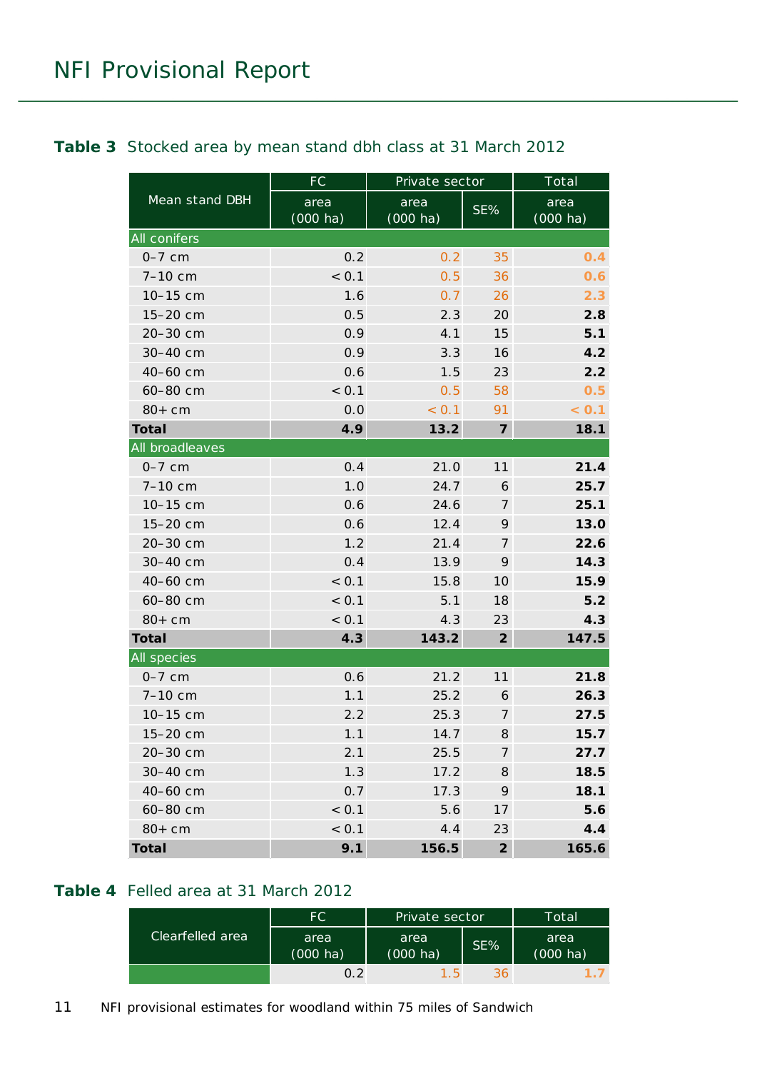#### <span id="page-10-0"></span>**Table 3** Stocked area by mean stand dbh class at 31 March 2012

|                 | FC                         | Private sector             |                            | Total                      |
|-----------------|----------------------------|----------------------------|----------------------------|----------------------------|
| Mean stand DBH  | area<br>$(000 \text{ ha})$ | area<br>$(000 \text{ ha})$ | SE%                        | area<br>$(000 \text{ ha})$ |
| All conifers    |                            |                            |                            |                            |
| $0-7$ cm        | 0.2                        | 0.2                        | 35                         | 0.4                        |
| 7-10 cm         | < 0.1                      | 0.5                        | 36                         | 0.6                        |
| 10-15 cm        | 1.6                        | 0.7                        | 26                         | 2.3                        |
| 15-20 cm        | 0.5                        | 2.3                        | 20                         | 2.8                        |
| 20-30 cm        | 0.9                        | 4.1                        | 15                         | 5.1                        |
| 30-40 cm        | 0.9                        | 3.3                        | 16                         | 4.2                        |
| 40-60 cm        | 0.6                        | 1.5                        | 23                         | 2.2                        |
| 60-80 cm        | < 0.1                      | 0.5                        | 58                         | 0.5                        |
| $80+cm$         | 0.0                        | < 0.1                      | 91                         | < 0.1                      |
| <b>Total</b>    | 4.9                        | 13.2                       | $\overline{7}$             | 18.1                       |
| All broadleaves |                            |                            |                            |                            |
| $0-7$ cm        | 0.4                        | 21.0                       | 11                         | 21.4                       |
| 7-10 cm         | 1.0                        | 24.7                       | 6                          | 25.7                       |
| 10-15 cm        | 0.6                        | 24.6                       | 7                          | 25.1                       |
| 15-20 cm        | 0.6                        | 12.4                       | 9                          | 13.0                       |
| 20-30 cm        | 1.2                        | 21.4                       | $\overline{7}$             | 22.6                       |
| 30-40 cm        | 0.4                        | 13.9                       | 9                          | 14.3                       |
| 40-60 cm        | < 0.1                      | 15.8                       | 10                         | 15.9                       |
| 60-80 cm        | < 0.1                      | 5.1                        | 18                         | 5.2                        |
| $80+cm$         | < 0.1                      | 4.3                        | 23                         | 4.3                        |
| <b>Total</b>    | 4.3                        | 143.2                      | $\overline{2}$             | 147.5                      |
| All species     |                            |                            |                            |                            |
| $0-7$ cm        | 0.6                        | 21.2                       | 11                         | 21.8                       |
| 7-10 cm         | 1.1                        | 25.2                       | 6                          | 26.3                       |
| 10-15 cm        | 2.2                        | 25.3                       | $\overline{7}$             | 27.5                       |
| 15-20 cm        | 1.1                        | 14.7                       | $\boldsymbol{\mathcal{S}}$ | 15.7                       |
| 20-30 cm        | 2.1                        | 25.5                       | $\overline{7}$             | 27.7                       |
| 30-40 cm        | 1.3                        | 17.2                       | 8                          | 18.5                       |
| 40-60 cm        | 0.7                        | 17.3                       | 9                          | 18.1                       |
| 60-80 cm        | < 0.1                      | 5.6                        | 17                         | 5.6                        |
| $80+cm$         | < 0.1                      | 4.4                        | 23                         | 4.4                        |
| <b>Total</b>    | 9.1                        | 156.5                      | $\overline{2}$             | 165.6                      |

#### <span id="page-10-1"></span>**Table 4** Felled area at 31 March 2012

|                  | FC.                        | Private sector             |        | Total                      |
|------------------|----------------------------|----------------------------|--------|----------------------------|
| Clearfelled area | area<br>$(000 \text{ ha})$ | area<br>$(000 \text{ ha})$ | $SE\%$ | area<br>$(000 \text{ ha})$ |
|                  | 0 2                        | $1.5^{\circ}$              | 36     |                            |

11 NFI provisional estimates for woodland within 75 miles of Sandwich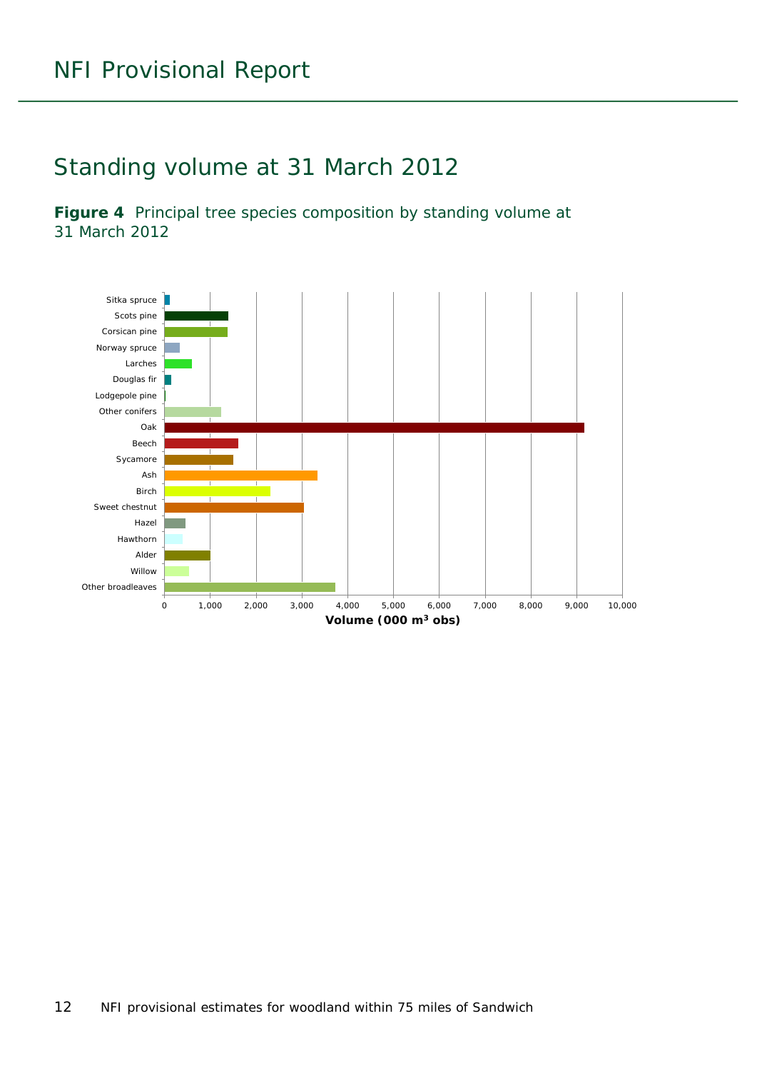### <span id="page-11-0"></span>Standing volume at 31 March 2012

<span id="page-11-1"></span>**Figure 4** Principal tree species composition by standing volume at 31 March 2012

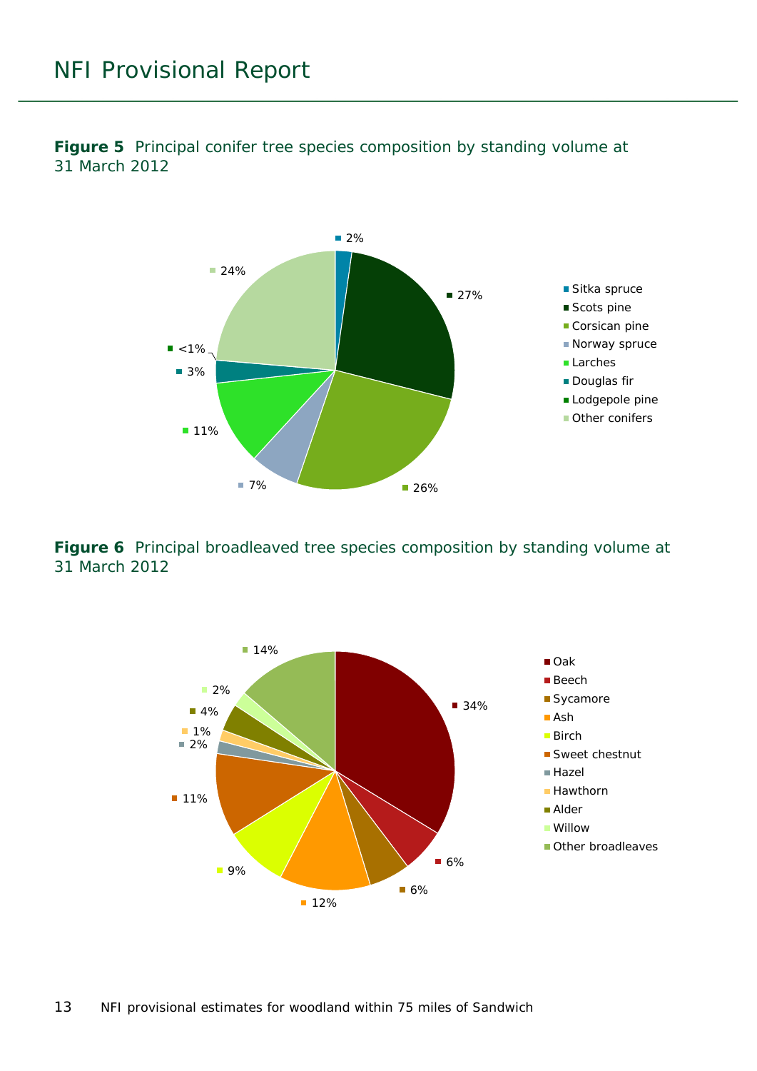

<span id="page-12-0"></span>**Figure 5** Principal conifer tree species composition by standing volume at 31 March 2012

<span id="page-12-1"></span>**Figure 6** Principal broadleaved tree species composition by standing volume at 31 March 2012

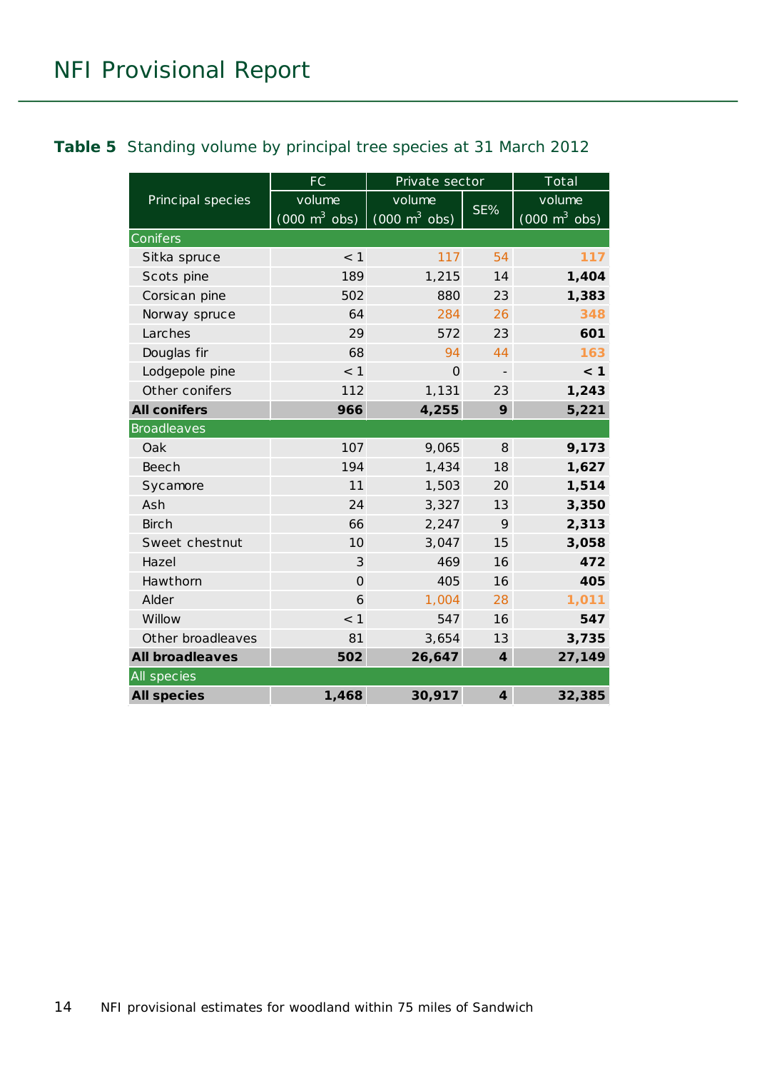#### <span id="page-13-0"></span>**Table 5** Standing volume by principal tree species at 31 March 2012

|                        | FC                                            | Private sector                                |                          | Total                                     |
|------------------------|-----------------------------------------------|-----------------------------------------------|--------------------------|-------------------------------------------|
| Principal species      | volume<br>$(000 \; \text{m}^3 \; \text{obs})$ | volume<br>$(000 \; \text{m}^3 \; \text{obs})$ | SE%                      | volume<br>$(000 \text{ m}^3 \text{ obs})$ |
| Conifers               |                                               |                                               |                          |                                           |
| Sitka spruce           | $<$ 1                                         | 117                                           | 54                       | 117                                       |
| Scots pine             | 189                                           | 1,215                                         | 14                       | 1,404                                     |
| Corsican pine          | 502                                           | 880                                           | 23                       | 1,383                                     |
| Norway spruce          | 64                                            | 284                                           | 26                       | 348                                       |
| Larches                | 29                                            | 572                                           | 23                       | 601                                       |
| Douglas fir            | 68                                            | 94                                            | 44                       | 163                                       |
| Lodgepole pine         | < 1                                           | $\Omega$                                      | $\overline{\phantom{a}}$ | < 1                                       |
| Other conifers         | 112                                           | 1,131                                         | 23                       | 1,243                                     |
| <b>All conifers</b>    | 966                                           | 4,255                                         | 9                        | 5,221                                     |
| <b>Broadleaves</b>     |                                               |                                               |                          |                                           |
| Oak                    | 107                                           | 9,065                                         | 8                        | 9,173                                     |
| <b>Beech</b>           | 194                                           | 1,434                                         | 18                       | 1,627                                     |
| Sycamore               | 11                                            | 1,503                                         | 20                       | 1,514                                     |
| Ash                    | 24                                            | 3,327                                         | 13                       | 3,350                                     |
| <b>Birch</b>           | 66                                            | 2,247                                         | 9                        | 2,313                                     |
| Sweet chestnut         | 10                                            | 3,047                                         | 15                       | 3,058                                     |
| Hazel                  | 3                                             | 469                                           | 16                       | 472                                       |
| Hawthorn               | $\Omega$                                      | 405                                           | 16                       | 405                                       |
| Alder                  | 6                                             | 1,004                                         | 28                       | 1,011                                     |
| Willow                 | $<$ 1                                         | 547                                           | 16                       | 547                                       |
| Other broadleaves      | 81                                            | 3,654                                         | 13                       | 3,735                                     |
| <b>All broadleaves</b> | 502                                           | 26,647                                        | $\boldsymbol{4}$         | 27,149                                    |
| All species            |                                               |                                               |                          |                                           |
| <b>All species</b>     | 1,468                                         | 30,917                                        | $\boldsymbol{4}$         | 32,385                                    |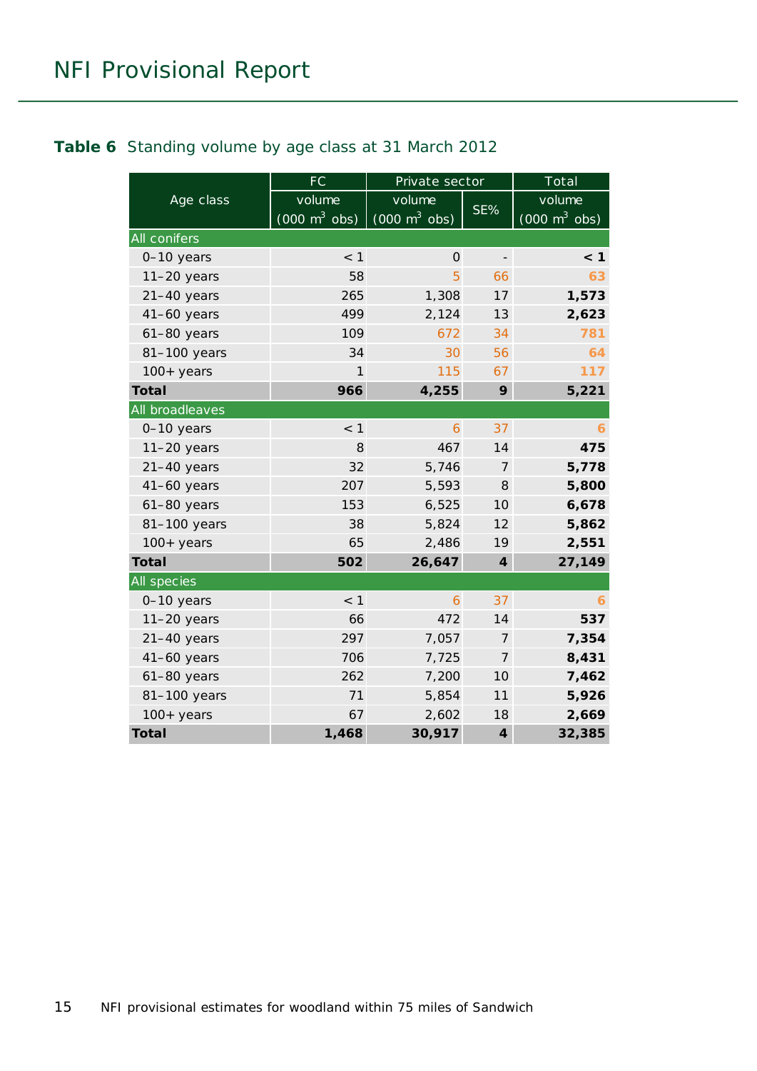#### <span id="page-14-0"></span>**Table 6** Standing volume by age class at 31 March 2012

|                     | FC                              | Private sector                  |                          | Total                           |
|---------------------|---------------------------------|---------------------------------|--------------------------|---------------------------------|
| Age class           | volume                          | volume                          |                          | volume                          |
|                     | $(000 \text{ m}^3 \text{ obs})$ | $(000 \text{ m}^3 \text{ obs})$ | SE%                      | $(000 \text{ m}^3 \text{ obs})$ |
| <b>All conifers</b> |                                 |                                 |                          |                                 |
| 0-10 years          | < 1                             | $\Omega$                        | $\overline{\phantom{m}}$ | < 1                             |
| $11-20$ years       | 58                              | 5                               | 66                       | 63                              |
| $21-40$ years       | 265                             | 1,308                           | 17                       | 1,573                           |
| $41-60$ years       | 499                             | 2,124                           | 13                       | 2,623                           |
| $61-80$ years       | 109                             | 672                             | 34                       | 781                             |
| 81-100 years        | 34                              | 30                              | 56                       | 64                              |
| $100+$ years        | 1                               | 115                             | 67                       | 117                             |
| <b>Total</b>        | 966                             | 4,255                           | 9                        | 5,221                           |
| All broadleaves     |                                 |                                 |                          |                                 |
| 0-10 years          | $<$ 1                           | 6                               | 37                       | 6                               |
| $11-20$ years       | 8                               | 467                             | 14                       | 475                             |
| $21-40$ years       | 32                              | 5,746                           | $\overline{7}$           | 5,778                           |
| $41-60$ years       | 207                             | 5,593                           | 8                        | 5,800                           |
| $61-80$ years       | 153                             | 6,525                           | 10                       | 6,678                           |
| 81-100 years        | 38                              | 5,824                           | 12                       | 5,862                           |
| $100+$ years        | 65                              | 2,486                           | 19                       | 2,551                           |
| <b>Total</b>        | 502                             | 26,647                          | $\boldsymbol{4}$         | 27,149                          |
| <b>All species</b>  |                                 |                                 |                          |                                 |
| 0-10 years          | $<$ 1                           | 6                               | 37                       | 6                               |
| $11-20$ years       | 66                              | 472                             | 14                       | 537                             |
| $21-40$ years       | 297                             | 7,057                           | 7                        | 7,354                           |
| $41-60$ years       | 706                             | 7,725                           | $\overline{7}$           | 8,431                           |
| 61-80 years         | 262                             | 7,200                           | 10                       | 7,462                           |
| 81-100 years        | 71                              | 5,854                           | 11                       | 5,926                           |
| $100+$ years        | 67                              | 2,602                           | 18                       | 2,669                           |
| <b>Total</b>        | 1,468                           | 30,917                          | $\boldsymbol{4}$         | 32,385                          |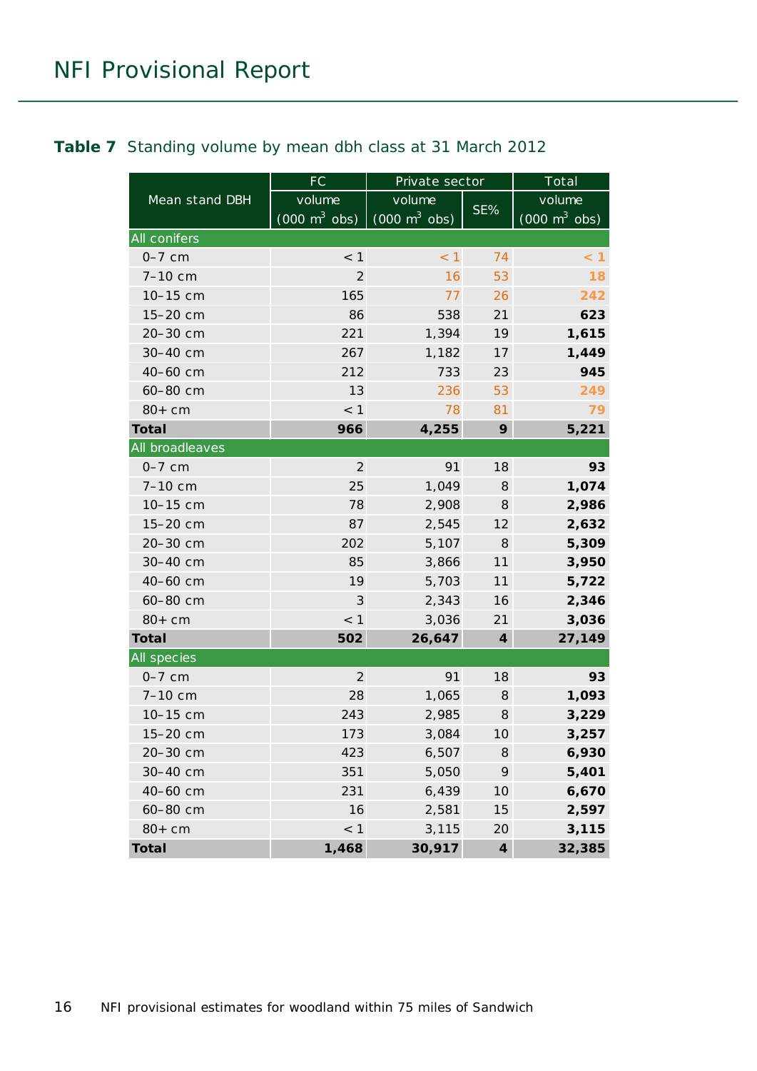<span id="page-15-0"></span>

|                 | FC                              | Private sector                  |                            | Total                           |
|-----------------|---------------------------------|---------------------------------|----------------------------|---------------------------------|
| Mean stand DBH  | volume                          | volume                          |                            | volume                          |
|                 | $(000 \text{ m}^3 \text{ obs})$ | $(000 \text{ m}^3 \text{ obs})$ | SE%                        | $(000 \text{ m}^3 \text{ obs})$ |
| All conifers    |                                 |                                 |                            |                                 |
| $0-7$ cm        | $<$ 1                           | < 1                             | 74                         | $\leq 1$                        |
| 7-10 cm         | 2                               | 16                              | 53                         | 18                              |
| 10-15 cm        | 165                             | 77                              | 26                         | 242                             |
| 15-20 cm        | 86                              | 538                             | 21                         | 623                             |
| 20-30 cm        | 221                             | 1,394                           | 19                         | 1,615                           |
| 30-40 cm        | 267                             | 1,182                           | 17                         | 1,449                           |
| 40-60 cm        | 212                             | 733                             | 23                         | 945                             |
| 60-80 cm        | 13                              | 236                             | 53                         | 249                             |
| $80+cm$         | < 1                             | 78                              | 81                         | 79                              |
| <b>Total</b>    | 966                             | 4,255                           | 9                          | 5,221                           |
| All broadleaves |                                 |                                 |                            |                                 |
| $0-7$ cm        | $\overline{2}$                  | 91                              | 18                         | 93                              |
| 7-10 cm         | 25                              | 1,049                           | 8                          | 1,074                           |
| 10-15 cm        | 78                              | 2,908                           | 8                          | 2,986                           |
| 15-20 cm        | 87                              | 2,545                           | 12                         | 2,632                           |
| 20-30 cm        | 202                             | 5,107                           | 8                          | 5,309                           |
| 30-40 cm        | 85                              | 3,866                           | 11                         | 3,950                           |
| 40-60 cm        | 19                              | 5,703                           | 11                         | 5,722                           |
| 60-80 cm        | 3                               | 2,343                           | 16                         | 2,346                           |
| $80+cm$         | $<$ 1                           | 3,036                           | 21                         | 3,036                           |
| <b>Total</b>    | 502                             | 26,647                          | $\boldsymbol{4}$           | 27,149                          |
| All species     |                                 |                                 |                            |                                 |
| $0-7$ cm        | $\overline{2}$                  | 91                              | 18                         | 93                              |
| 7-10 cm         | 28                              | 1,065                           | 8                          | 1,093                           |
| 10-15 cm        | 243                             | 2,985                           | $\boldsymbol{\mathcal{S}}$ | 3,229                           |
| 15-20 cm        | 173                             | 3,084                           | 10                         | 3,257                           |
| 20-30 cm        | 423                             | 6,507                           | 8                          | 6,930                           |
| 30-40 cm        | 351                             | 5,050                           | 9                          | 5,401                           |
| 40-60 cm        | 231                             | 6,439                           | 10                         | 6,670                           |
| 60-80 cm        | 16                              | 2,581                           | 15                         | 2,597                           |
| $80+cm$         | < 1                             | 3,115                           | 20                         | 3,115                           |
| <b>Total</b>    | 1,468                           | 30,917                          | $\boldsymbol{4}$           | 32,385                          |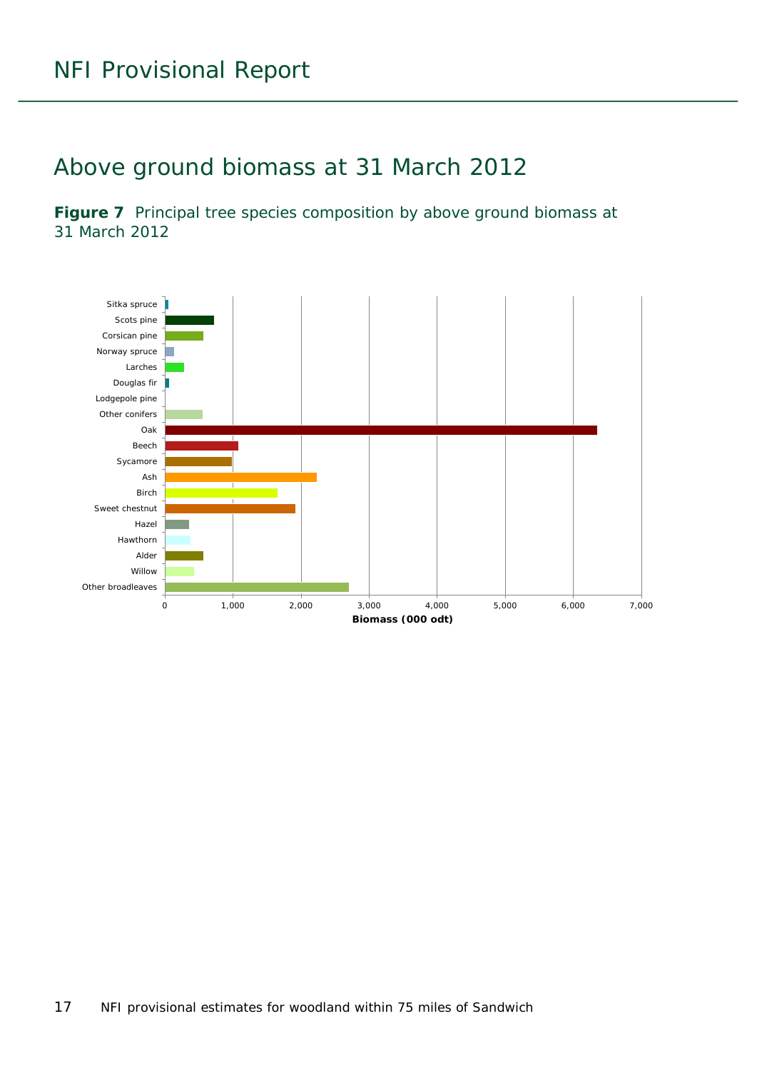### <span id="page-16-0"></span>Above ground biomass at 31 March 2012

<span id="page-16-1"></span>Figure 7 Principal tree species composition by above ground biomass at 31 March 2012

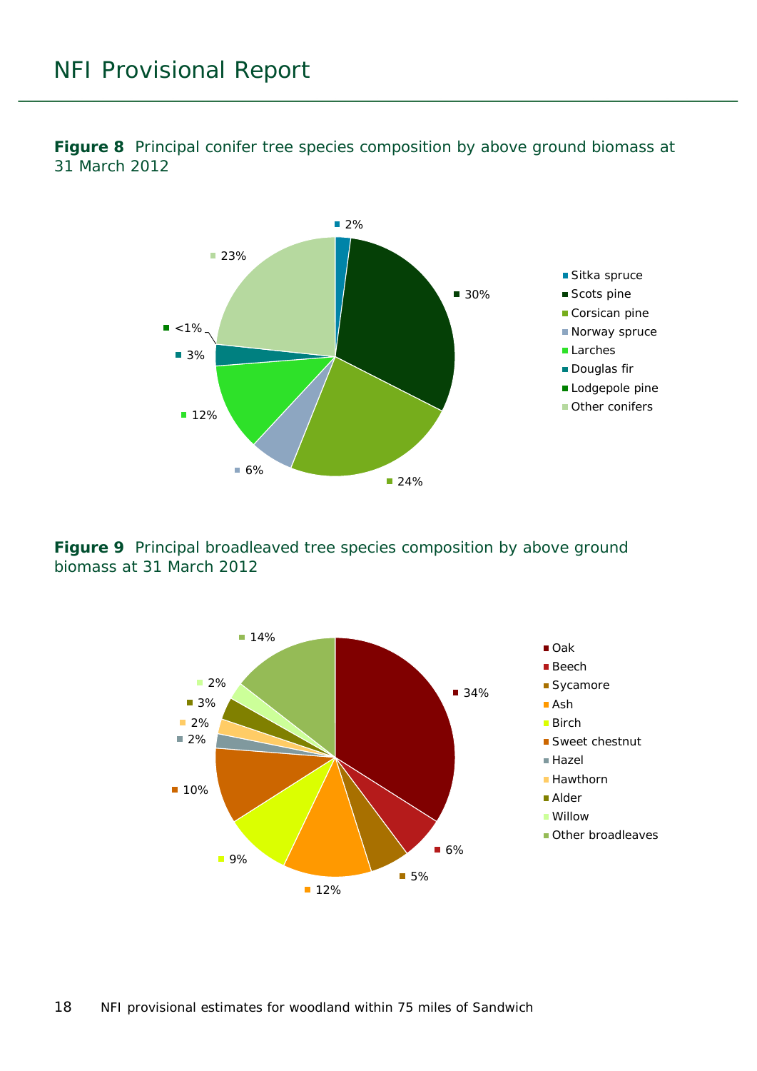<span id="page-17-0"></span>**Figure 8** Principal conifer tree species composition by above ground biomass at 31 March 2012



<span id="page-17-1"></span>**Figure 9** Principal broadleaved tree species composition by above ground biomass at 31 March 2012

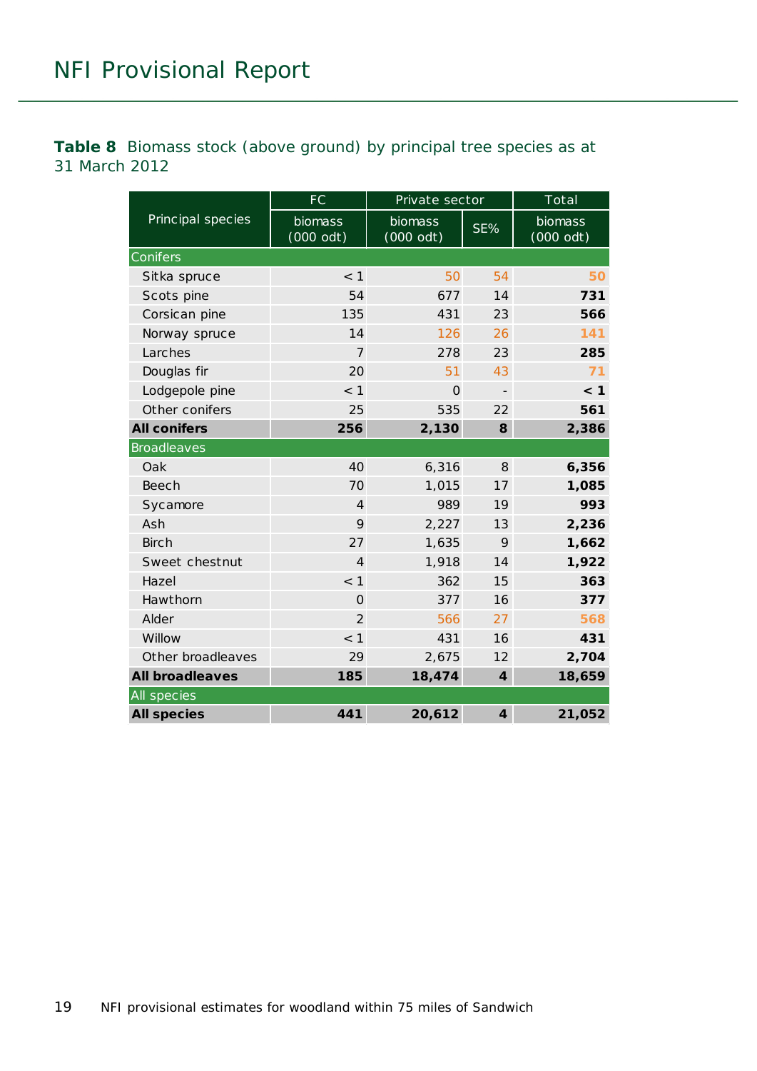<span id="page-18-0"></span>**Table 8** Biomass stock (above ground) by principal tree species as at 31 March 2012

|                        | FC                     | Private sector         |                   | Total                  |  |  |
|------------------------|------------------------|------------------------|-------------------|------------------------|--|--|
| Principal species      | biomass<br>$(000$ odt) | biomass<br>$(000$ odt) | SE%               | biomass<br>$(000$ odt) |  |  |
| Conifers               |                        |                        |                   |                        |  |  |
| Sitka spruce           | $<$ 1                  | 50                     | 54                | 50                     |  |  |
| Scots pine             | 54                     | 677                    | 14                | 731                    |  |  |
| Corsican pine          | 135                    | 431                    | 23                | 566                    |  |  |
| Norway spruce          | 14                     | 126                    | 26                | 141                    |  |  |
| Larches                | $\overline{7}$         | 278                    | 23                | 285                    |  |  |
| Douglas fir            | 20                     | 51                     | 43                | 71                     |  |  |
| Lodgepole pine         | $<$ 1                  | $\Omega$               | $\qquad \qquad -$ | < 1                    |  |  |
| Other conifers         | 25                     | 535                    | 22                | 561                    |  |  |
| <b>All conifers</b>    | 256                    | 2,130                  | 8                 | 2,386                  |  |  |
| <b>Broadleaves</b>     |                        |                        |                   |                        |  |  |
| Oak                    | 40                     | 6,316                  | 8                 | 6,356                  |  |  |
| Beech                  | 70                     | 1,015                  | 17                | 1,085                  |  |  |
| Sycamore               | $\overline{4}$         | 989                    | 19                | 993                    |  |  |
| Ash                    | 9                      | 2,227                  | 13                | 2,236                  |  |  |
| <b>Birch</b>           | 27                     | 1,635                  | 9                 | 1,662                  |  |  |
| Sweet chestnut         | $\overline{4}$         | 1,918                  | 14                | 1,922                  |  |  |
| Hazel                  | < 1                    | 362                    | 15                | 363                    |  |  |
| Hawthorn               | $\mathbf{O}$           | 377                    | 16                | 377                    |  |  |
| Alder                  | $\overline{2}$         | 566                    | 27                | 568                    |  |  |
| Willow                 | < 1                    | 431                    | 16                | 431                    |  |  |
| Other broadleaves      | 29                     | 2,675                  | 12                | 2,704                  |  |  |
| <b>All broadleaves</b> | 185                    | 18,474                 | $\boldsymbol{4}$  | 18,659                 |  |  |
| All species            |                        |                        |                   |                        |  |  |
| <b>All species</b>     | 441                    | 20,612                 | $\boldsymbol{4}$  | 21,052                 |  |  |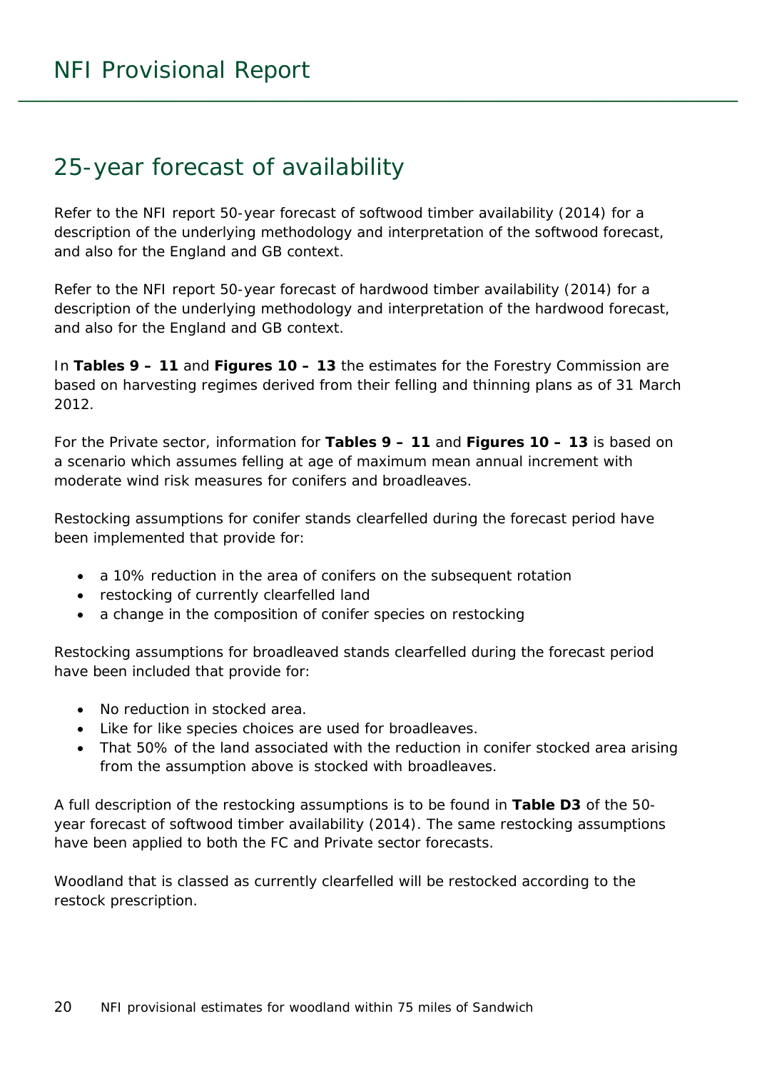### <span id="page-19-0"></span>25-year forecast of availability

Refer to the NFI report *50-year forecast of softwood timber availability* (2014) for a description of the underlying methodology and interpretation of the softwood forecast, and also for the England and GB context.

Refer to the NFI report *50-year forecast of hardwood timber availability* (2014) for a description of the underlying methodology and interpretation of the hardwood forecast, and also for the England and GB context.

In **Tables 9 – 11** and **Figures 10 – 13** the estimates for the Forestry Commission are based on harvesting regimes derived from their felling and thinning plans as of 31 March 2012.

For the Private sector, information for **Tables 9 – 11** and **Figures 10 – 13** is based on a scenario which assumes felling at age of maximum mean annual increment with moderate wind risk measures for conifers and broadleaves.

Restocking assumptions for conifer stands clearfelled during the forecast period have been implemented that provide for:

- a 10% reduction in the area of conifers on the subsequent rotation
- restocking of currently clearfelled land
- a change in the composition of conifer species on restocking

Restocking assumptions for broadleaved stands clearfelled during the forecast period have been included that provide for:

- No reduction in stocked area.
- Like for like species choices are used for broadleaves.
- That 50% of the land associated with the reduction in conifer stocked area arising from the assumption above is stocked with broadleaves.

A full description of the restocking assumptions is to be found in **Table D3** of the *50 year forecast of softwood timber availability* (2014). The same restocking assumptions have been applied to both the FC and Private sector forecasts.

Woodland that is classed as currently clearfelled will be restocked according to the restock prescription.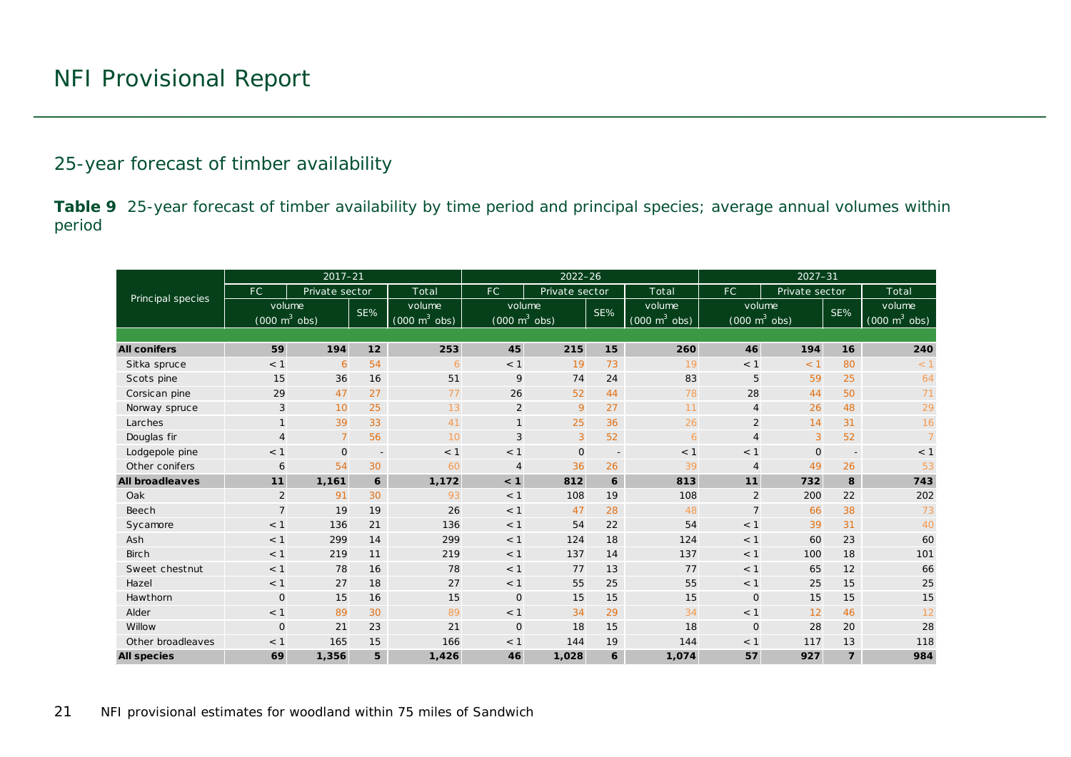#### 25-year forecast of timber availability

**Table 9** 25-year forecast of timber availability by time period and principal species; average annual volumes within period

<span id="page-20-0"></span>

|                                   |                                     | $2017 - 21$    |                          |                                     |                                     | $2022 - 26$    |                          |                                     | $2027 - 31$                         |                |                |                                     |  |
|-----------------------------------|-------------------------------------|----------------|--------------------------|-------------------------------------|-------------------------------------|----------------|--------------------------|-------------------------------------|-------------------------------------|----------------|----------------|-------------------------------------|--|
| Principal species                 | FC.                                 | Private sector |                          | Total                               | FC.                                 | Private sector |                          | Total                               | FC.                                 | Private sector |                | Total                               |  |
|                                   | volume                              |                | SE%                      | volume                              | volume                              |                | SE%                      | volume                              | volume                              |                | SE%            | volume                              |  |
|                                   | $(000 \; \text{m}^3 \; \text{obs})$ |                |                          | $(000 \; \text{m}^3 \; \text{obs})$ | $(000 \; \text{m}^3 \; \text{obs})$ |                |                          | $(000 \; \text{m}^3 \; \text{obs})$ | $(000 \; \text{m}^3 \; \text{obs})$ |                |                | $(000 \; \text{m}^3 \; \text{obs})$ |  |
|                                   |                                     |                |                          |                                     |                                     |                |                          |                                     |                                     |                |                |                                     |  |
| <b>All conifers</b>               | 59                                  | 194            | 12                       | 253                                 | 45                                  | 215            | 15                       | 260                                 | 46                                  | 194            | 16             | 240                                 |  |
| Sitka spruce                      | < 1                                 | 6              | 54                       | 6                                   | < 1                                 | 19             | 73                       | 19                                  | < 1                                 | < 1            | 80             | < 1                                 |  |
| Scots pine                        | 15                                  | 36             | 16                       | 51                                  | 9                                   | 74             | 24                       | 83                                  | 5                                   | 59             | 25             | 64                                  |  |
| Corsican pine                     | 29                                  | 47             | 27                       | 77                                  | 26                                  | 52             | 44                       | 78                                  | 28                                  | 44             | 50             | 71                                  |  |
| Norway spruce                     | 3                                   | 10             | 25                       | 13                                  | 2                                   | 9              | 27                       | 11                                  | $\overline{4}$                      | 26             | 48             | 29                                  |  |
| Larches                           | $\mathbf{1}$                        | 39             | 33                       | 41                                  | $\mathbf{1}$                        | 25             | 36                       | 26                                  | $\overline{2}$                      | 14             | 31             | 16                                  |  |
| Douglas fir                       | $\overline{4}$                      | $\overline{7}$ | 56                       | 10                                  | 3                                   | 3              | 52                       | 6                                   | $\overline{4}$                      | 3              | 52             |                                     |  |
| Lodgepole pine                    | < 1                                 | $\mathbf{O}$   | $\overline{\phantom{a}}$ | < 1                                 | < 1                                 | $\mathbf 0$    | $\overline{\phantom{a}}$ | < 1                                 | $<$ 1                               | $\mathbf{O}$   | $\overline{a}$ | < 1                                 |  |
| Other conifers                    | 6                                   | 54             | 30                       | 60                                  | $\overline{4}$                      | 36             | 26                       | 39                                  | $\overline{4}$                      | 49             | 26             | 53                                  |  |
| <b>All broadleaves</b>            | 11                                  | 1,161          | 6                        | 1,172                               | < 1                                 | 812            | 6                        | 813                                 | 11                                  | 732            | 8              | 743                                 |  |
| Oak                               | $\overline{2}$                      | 91             | 30                       | 93                                  | < 1                                 | 108            | 19                       | 108                                 | 2                                   | 200            | 22             | 202                                 |  |
| Beech                             | $\overline{7}$                      | 19             | 19                       | 26                                  | < 1                                 | 47             | 28                       | 48                                  | $7\overline{ }$                     | 66             | 38             | 73                                  |  |
| Sycamore                          | < 1                                 | 136            | 21                       | 136                                 | < 1                                 | 54             | 22                       | 54                                  | < 1                                 | 39             | 31             | 40                                  |  |
| Ash                               | < 1                                 | 299            | 14                       | 299                                 | < 1                                 | 124            | 18                       | 124                                 | $<$ 1                               | 60             | 23             | 60                                  |  |
| <b>Birch</b>                      | < 1                                 | 219            | 11                       | 219                                 | < 1                                 | 137            | 14                       | 137                                 | < 1                                 | 100            | 18             | 101                                 |  |
| Sweet chestnut                    | < 1                                 | 78             | 16                       | 78                                  | < 1                                 | 77             | 13                       | 77                                  | $<$ 1                               | 65             | 12             | 66                                  |  |
| Hazel                             | < 1                                 | 27             | 18                       | 27                                  | < 1                                 | 55             | 25                       | 55                                  | < 1                                 | 25             | 15             | 25                                  |  |
| Hawthorn                          | $\mathsf{O}$                        | 15             | 16                       | 15                                  | $\mathbf{O}$                        | 15             | 15                       | 15                                  | $\mathbf 0$                         | 15             | 15             | 15                                  |  |
| Alder                             | < 1                                 | 89             | 30                       | 89                                  | < 1                                 | 34             | 29                       | 34                                  | < 1                                 | 12             | 46             | 12                                  |  |
| Willow                            | $\mathsf{O}$                        | 21             | 23                       | 21                                  | $\Omega$                            | 18             | 15                       | 18                                  | $\mathbf 0$                         | 28             | 20             | 28                                  |  |
| Other broadleaves                 | $<$ 1                               | 165            | 15                       | 166                                 | $<$ 1                               | 144            | 19                       | 144                                 | $<$ 1                               | 117            | 13             | 118                                 |  |
| 69<br>1,356<br><b>All species</b> |                                     | 5              | 1,426                    | 46                                  | 1,028                               | 6              | 1,074                    | 57                                  | 927                                 | $\overline{7}$ | 984            |                                     |  |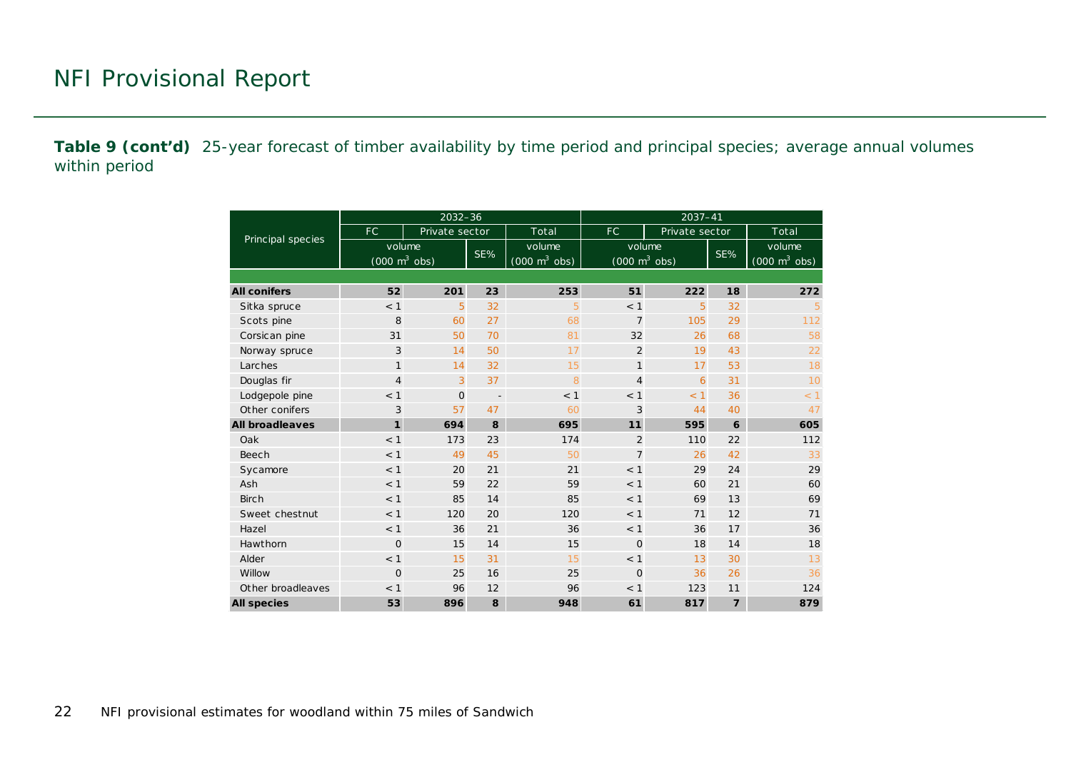**Table 9 (cont'd)** 25-year forecast of timber availability by time period and principal species; average annual volumes within period

|                        |                                               | $2032 - 36$    |                          |                                           | $2037 - 41$                               |                |                |                                           |  |  |  |
|------------------------|-----------------------------------------------|----------------|--------------------------|-------------------------------------------|-------------------------------------------|----------------|----------------|-------------------------------------------|--|--|--|
|                        | FC                                            | Private sector |                          | Total                                     | FC.                                       | Private sector |                | Total                                     |  |  |  |
| Principal species      | volume<br>$(000 \; \text{m}^3 \; \text{obs})$ |                | SE%                      | volume<br>$(000 \text{ m}^3 \text{ obs})$ | volume<br>$(000 \text{ m}^3 \text{ obs})$ |                | SE%            | volume<br>$(000 \text{ m}^3 \text{ obs})$ |  |  |  |
|                        |                                               |                |                          |                                           |                                           |                |                |                                           |  |  |  |
| <b>All conifers</b>    | 52                                            | 201            | 23                       | 253                                       | 51                                        | 222            | 18             | 272                                       |  |  |  |
| Sitka spruce           | < 1                                           | 5              | 32                       | 5                                         | < 1                                       | 5              | 32             | 5                                         |  |  |  |
| Scots pine             | 8                                             | 60             | 27                       | 68                                        | $\overline{7}$                            | 105            | 29             | 112                                       |  |  |  |
| Corsican pine          | 31                                            | 50             | 70                       | 81                                        | 32                                        | 26             | 68             | 58                                        |  |  |  |
| Norway spruce          | 3                                             | 14             | 50                       | 17                                        | 2                                         | 19             | 43             | 22                                        |  |  |  |
| Larches                | $\mathbf{1}$                                  | 14             | 32                       | 15                                        | $\mathbf{1}$                              | 17             | 53             | 18                                        |  |  |  |
| Douglas fir            | $\overline{4}$                                | 3              | 37                       | 8                                         | $\overline{4}$                            | 6              | 31             | 10                                        |  |  |  |
| Lodgepole pine         | < 1                                           | $\mathbf 0$    | $\overline{\phantom{a}}$ | < 1                                       | < 1                                       | < 1            | 36             | < 1                                       |  |  |  |
| Other conifers         | 3                                             | 57             | 47                       | 60                                        | 3                                         | 44             | 40             | 47                                        |  |  |  |
| <b>All broadleaves</b> | $\mathbf{1}$                                  | 694            | 8                        | 695                                       | 11                                        | 595            | 6              | 605                                       |  |  |  |
| Oak                    | < 1                                           | 173            | 23                       | 174                                       | $\overline{2}$                            | 110            | 22             | 112                                       |  |  |  |
| Beech                  | < 1                                           | 49             | 45                       | 50                                        | $\overline{7}$                            | 26             | 42             | 33                                        |  |  |  |
| Sycamore               | < 1                                           | 20             | 21                       | 21                                        | < 1                                       | 29             | 24             | 29                                        |  |  |  |
| Ash                    | < 1                                           | 59             | 22                       | 59                                        | < 1                                       | 60             | 21             | 60                                        |  |  |  |
| <b>Birch</b>           | < 1                                           | 85             | 14                       | 85                                        | < 1                                       | 69             | 13             | 69                                        |  |  |  |
| Sweet chestnut         | < 1                                           | 120            | 20                       | 120                                       | < 1                                       | 71             | 12             | 71                                        |  |  |  |
| Hazel                  | < 1                                           | 36             | 21                       | 36                                        | < 1                                       | 36             | 17             | 36                                        |  |  |  |
| Hawthorn               | $\Omega$                                      | 15             | 14                       | 15                                        | $\Omega$                                  | 18             | 14             | 18                                        |  |  |  |
| Alder                  | < 1                                           | 15             | 31                       | 15                                        | < 1                                       | 13             | 30             | 13                                        |  |  |  |
| Willow                 | $\mathbf 0$                                   | 25             | 16                       | 25                                        | $\Omega$                                  | 36             | 26             | 36                                        |  |  |  |
| Other broadleaves      | < 1<br>96                                     |                | 12                       | 96                                        | < 1                                       | 123            | 11             | 124                                       |  |  |  |
| <b>All species</b>     | 53                                            | 896            | 8                        | 948                                       | 61                                        | 817            | $\overline{7}$ | 879                                       |  |  |  |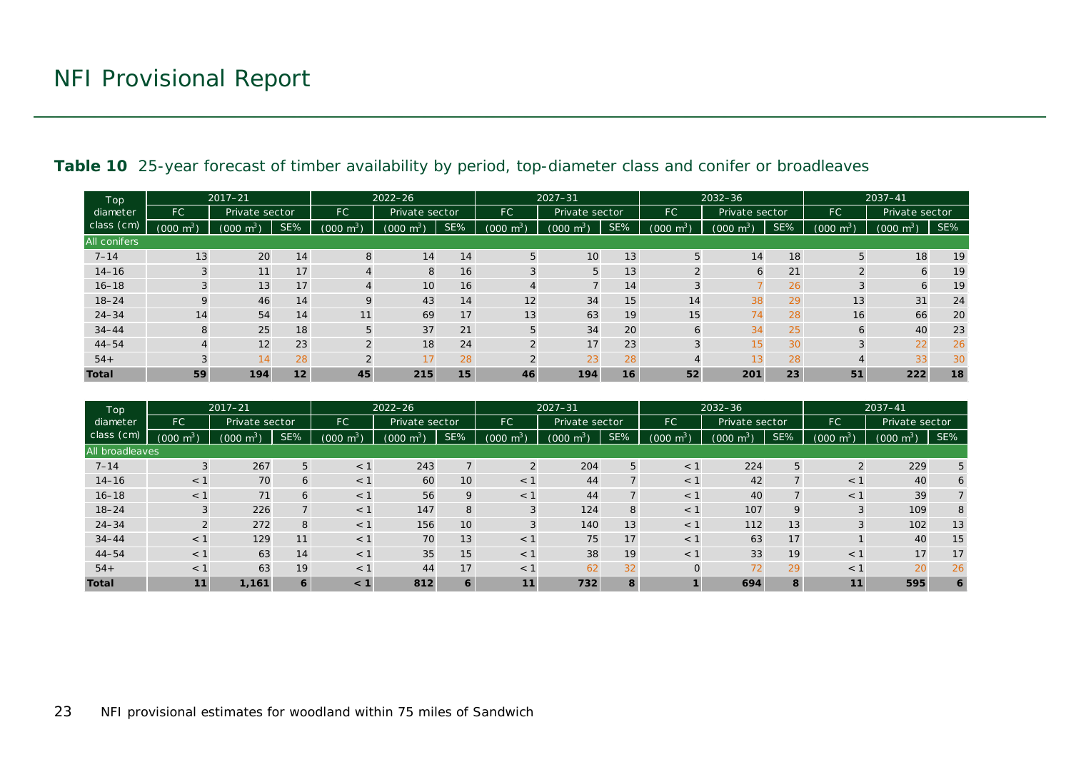| Top                 | $2017 - 21$                 |                |                       |                       | $2022 - 26$    |                |                       | $2027 - 31$     |                |                                            | 2032-36      |                |                          | $2037 - 41$         |     |
|---------------------|-----------------------------|----------------|-----------------------|-----------------------|----------------|----------------|-----------------------|-----------------|----------------|--------------------------------------------|--------------|----------------|--------------------------|---------------------|-----|
| diameter            | <b>FC</b><br>Private sector |                | FC.<br>Private sector |                       | FC             | Private sector |                       | FC              | Private sector |                                            | FC           | Private sector |                          |                     |     |
| class (cm)          | $\mathsf{m}^3$<br>(000)     | $m^3$<br>(000) | SE%                   | $(000 \; \text{m}^3)$ | (000)<br>$m^3$ | SE%            | $(000 \; \text{m}^3)$ | (000 m $^3$ )   | SE%            | $\cdot$ m <sup>3</sup> $\sqrt{ }$<br>(000) | (000 $m^3$ ) | SE%            | $\text{Im}^{3}$<br>(000) | $(000 \text{ m}^3)$ | SE% |
| <b>All conifers</b> |                             |                |                       |                       |                |                |                       |                 |                |                                            |              |                |                          |                     |     |
| $7 - 14$            | 13                          | 20             | 14                    | 8                     | 14             | 14             | 5                     | 10 <sub>1</sub> | 13             | 5                                          | 14           | 18             | 5                        | 18                  | 19  |
| $14 - 16$           | 3                           | 11             | 17                    |                       | 8              | 16             | 3                     | 5               | 13             | $\Omega$                                   | 6            | 21             |                          | 6                   | 19  |
| $16 - 18$           |                             | 13             | 17                    | 4                     | 10             | 16             | 4                     |                 | 14             | 3                                          |              | 26             |                          | 6                   | 19  |
| $18 - 24$           | 9                           | 46             | 14                    | $\mathsf Q$           | 43             | 14             | 12                    | 34              | 15             | 14                                         | 38           | 29             | 13                       | 31                  | 24  |
| $24 - 34$           | 14                          | 54             | 14                    | 11                    | 69             | 17             | 13                    | 63              | 19             | 15                                         | 74           | 28             | 16                       | 66                  | 20  |
| $34 - 44$           | 8                           | 25             | 18                    | 5                     | 37             | 21             | 5                     | 34              | 20             | 6                                          | 34           | 25             | 6                        | 40                  | 23  |
| $44 - 54$           |                             | 12             | 23                    | $\Omega$              | 18             | 24             | $\Omega$              | 17              | 23             | 3                                          | 15           | 30             | $\sim$                   | 22                  | 26  |
| $54+$               | 3                           | 14             | 28                    | $\Omega$              | 17             | 28             | $\Omega$              | 23              | 28             |                                            | 13           | 28             |                          | 33                  | 30  |
| <b>Total</b>        | 59                          | 194            | 12                    | 45                    | 215            | 15             | 46                    | 194             | 16             | 52                                         | 201          | 23             | 51                       | 222                 | 18  |

#### Table 10 25-year forecast of timber availability by period, top-diameter class and conifer or broadleaves

<span id="page-22-0"></span>

| Top<br>diameter |                     | $2017 - 21$                             |     |                             | $2022 - 26$                      |                | $2027 - 31$         |                |           | $2032 - 36$                       |                |           | $2037 - 41$         |                |     |
|-----------------|---------------------|-----------------------------------------|-----|-----------------------------|----------------------------------|----------------|---------------------|----------------|-----------|-----------------------------------|----------------|-----------|---------------------|----------------|-----|
|                 | <b>FC</b>           | Private sector                          |     | <b>FC</b><br>Private sector |                                  | <b>FC</b>      | Private sector      |                | <b>FC</b> | Private sector                    |                | <b>FC</b> | Private sector      |                |     |
| class (cm)      | $(000 \text{ m}^3)$ | $\cdot$ m <sup>3</sup> $\cdot$<br>(000) | SE% | $m^3$<br>(000)              | $\text{J} \text{ m}^{3}$<br>000) | SE%            | $(000 \text{ m}^3)$ | $m^3$<br>(000) | SE%       | $\text{J} \text{ m}^{3}$<br>(000) | $m^3$<br>(000) | SE%       | $(000 \text{ m}^3)$ | $m^3$<br>(000) | SE% |
| All broadleaves |                     |                                         |     |                             |                                  |                |                     |                |           |                                   |                |           |                     |                |     |
| $7 - 14$        | 3                   | 267                                     | 5   | $<$ 1                       | 243                              | $\overline{7}$ | 2                   | 204            | 5         | $<$ 1                             | 224            | 5         | 2                   | 229            | 5   |
| $14 - 16$       | $<$ 1               | 70                                      | 6   | $<$ 1                       | 60                               | 10             | $<$ 1               | 44             |           | $<$ 1                             | 42             |           | $<$ 1               | 40             | 6   |
| $16 - 18$       | $<$ 1               | 71                                      | 6   | $<$ 1                       | 56                               | 9              | $<$ 1               | 44             |           | $<$ 1                             | 40             |           | $<$ 1               | 39             |     |
| $18 - 24$       | 3                   | 226                                     |     | $<$ 1                       | 147                              | 8              | 3                   | 124            | 8         | $<$ 1                             | 107            | 9         | 3                   | 109            | 8   |
| $24 - 34$       | 2                   | 272                                     | 8   | $<$ 1                       | 156                              | 10             |                     | 140            | 13        | $<$ 1                             | 112            | 13        | 3                   | 102            | 13  |
| $34 - 44$       | $<$ 1               | 129                                     | 11  | < 1                         | 70                               | 13             | $<$ 1               | 75             | 17        | $<$ 1                             | 63             | 17        |                     | 40             | 15  |
| $44 - 54$       | $<$ 1               | 63                                      | 14  | $<$ 1                       | 35                               | 15             | $<$ 1               | 38             | 19        | $<$ 1                             | 33             | 19        | < 1                 | 17             | 17  |
| $54+$           | $<$ 1               | 63                                      | 19  | $<$ 1                       | 44                               | 17             | $<$ 1               | 62             | 32        | $\Omega$                          | 72             | 29        | < 1                 | 20             | 26  |
| <b>Total</b>    | $\mathbf{11}$       | 1,161                                   | 6   | < 1                         | 812                              | 6              | 11                  | 732            | 8         |                                   | 694            | 8         | 11                  | 595            | 6   |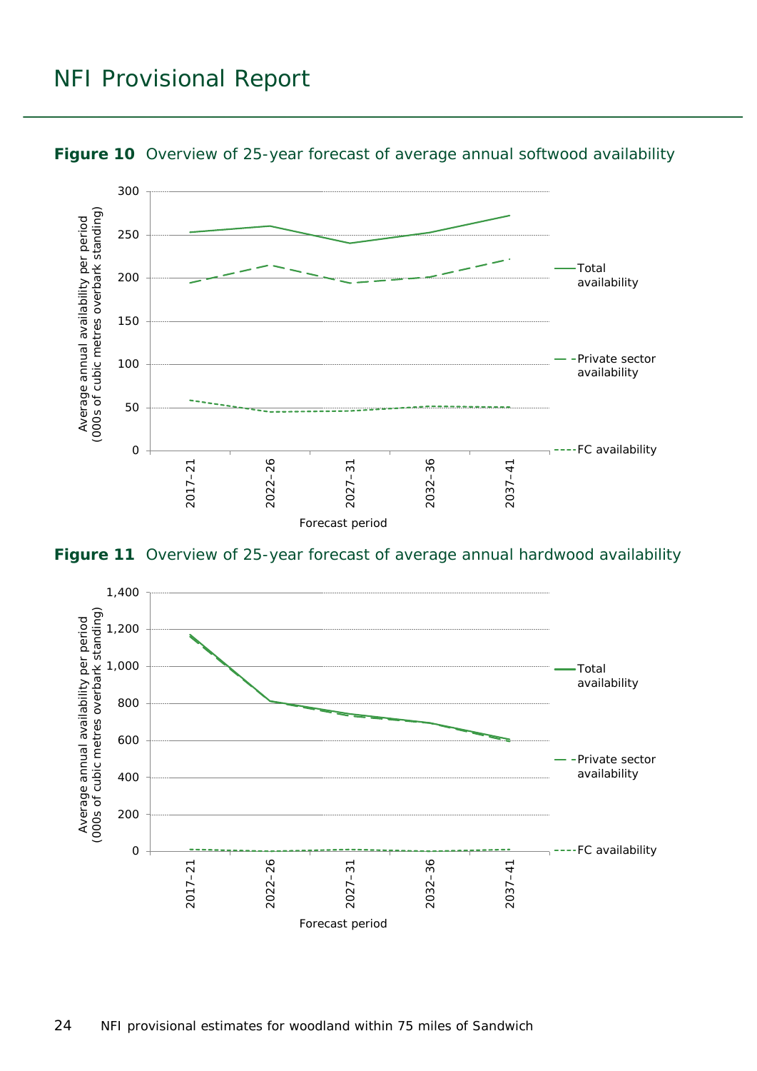

<span id="page-23-0"></span>

<span id="page-23-1"></span>**Figure 11** Overview of 25-year forecast of average annual hardwood availability

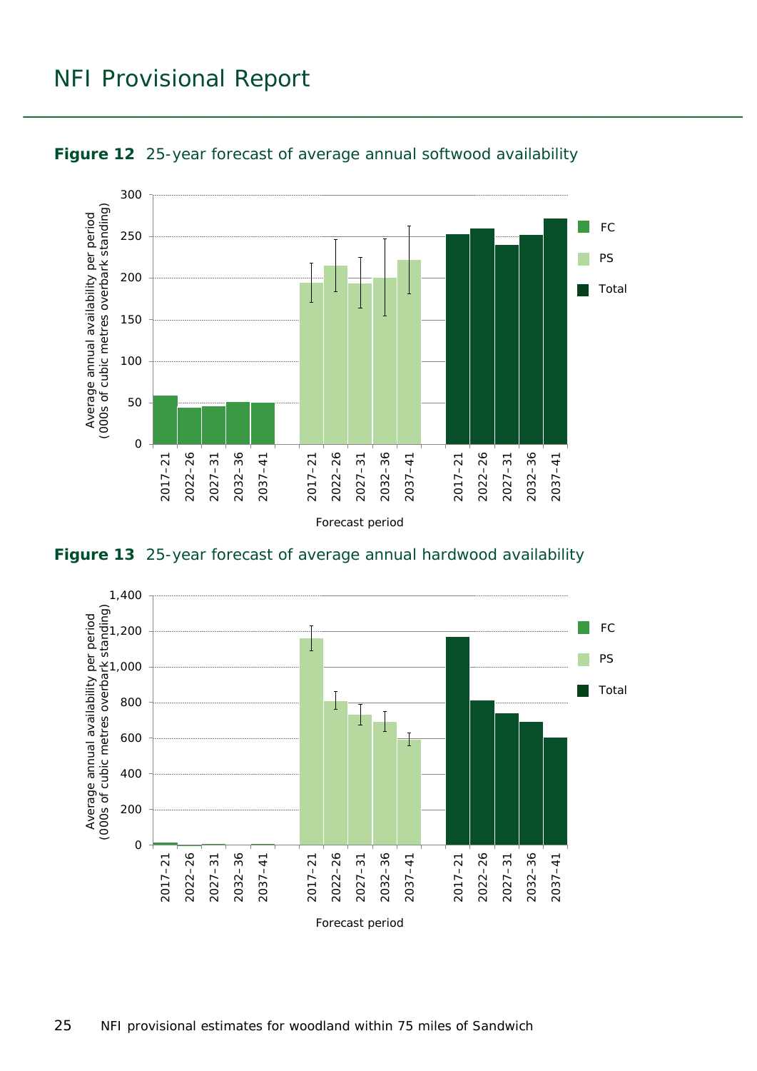

<span id="page-24-0"></span>

<span id="page-24-1"></span>**Figure 13** 25-year forecast of average annual hardwood availability

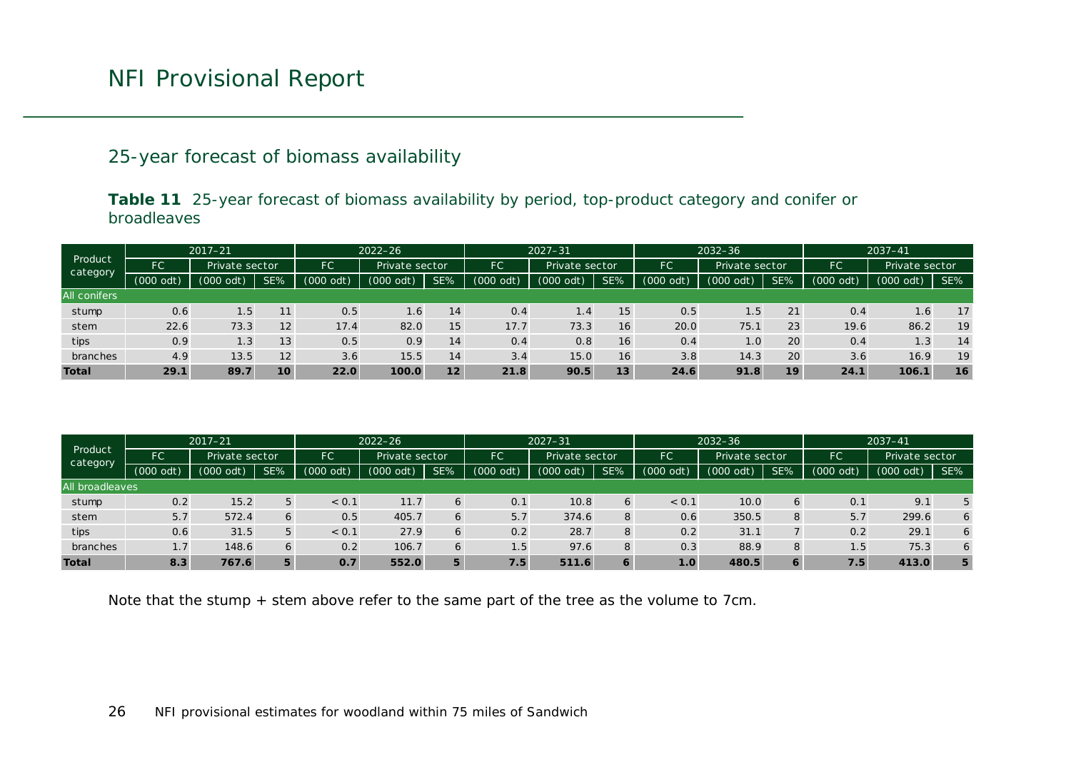#### 25-year forecast of biomass availability

**Table 11** 25-year forecast of biomass availability by period, top-product category and conifer or broadleaves

| Product<br>category | $2017 - 21$ |                |     |             | $2022 - 26$    |     |             | $2027 - 31$            |     |                             | $2032 - 36$   |     |           | $2037 - 41$    |     |
|---------------------|-------------|----------------|-----|-------------|----------------|-----|-------------|------------------------|-----|-----------------------------|---------------|-----|-----------|----------------|-----|
|                     | FC          | Private sector |     | FC          | Private sector |     | FC          | Private sector         |     | <b>FC</b><br>Private sector |               |     | FC        | Private sector |     |
|                     | $(000$ odt) | (000<br>odt)   | SE% | $(000$ odt) | odt)<br>(000)  | SE% | $(000$ odt) | $(000 \overline{odt})$ | SE% | $(000$ odt)                 | (000)<br>odt) | SE% | (000 odt) | $(000$ odt)    | SE% |
| All conifers        |             |                |     |             |                |     |             |                        |     |                             |               |     |           |                |     |
| stump               | 0.6         | $1.5^{\circ}$  | 11  | 0.5         | 1.6            | 14  | 0.4         | 1.4                    | 15  | 0.5                         | 1.5           | 21  | 0.4       | 1.6            | 17  |
| stem                | 22.6        | 73.3           | 12  | 17.4        | 82.0           | 15  | 17.7        | 73.3                   | 16  | 20.0                        | 75.1          | 23  | 19.6      | 86.2           | 19  |
| tips                | 0.9         | 1.3            | 13  | 0.5         | 0.9            | 14  | 0.4         | 0.8                    | 16  | 0.4                         | 1.0           | 20  | 0.4       | 1.3            | 14  |
| branches            | 4.9         | 13.5           | 12  | 3.6         | 15.5           | 14  | 3.4         | 15.0                   | 16  | 3.8                         | 14.3          | 20  | 3.6       | 16.9           | 19  |
| <b>Total</b>        | 29.1        | 89.7           | 10  | 22.0        | 100.0          | 12  | 21.8        | 90.5                   | 13  | 24.6                        | 91.8          | 19  | 24.1      | 106.1          | 16  |

<span id="page-25-0"></span>

| Product<br>category | $2017 - 21$ |                |     |                       | $2022 - 26$ |     |             | $2027 - 31$ |                |                  | $2032 - 36$    |     |             | $2037 - 41$    |     |
|---------------------|-------------|----------------|-----|-----------------------|-------------|-----|-------------|-------------|----------------|------------------|----------------|-----|-------------|----------------|-----|
|                     | FС          | Private sector |     | FC.<br>Private sector |             |     | FC          |             | Private sector |                  | Private sector |     | FC          | Private sector |     |
|                     | $(000$ odt) | odt)<br>(000)  | SE% | odt)<br>(000)         | $(000$ odt) | SE% | $(000$ odt) | $(000$ odt) | SE%            | (000 odt)        | odt)<br>(000)  | SE% | $(000$ odt) | $(000$ odt)    | SE% |
| All broadleaves     |             |                |     |                       |             |     |             |             |                |                  |                |     |             |                |     |
| stump               | 0.2         | 15.2           | 5   | < 0.1                 | 11.7        | 6   | 0.1         | 10.8        | 6              | < 0.1            | 10.0           | 6   | 0.1         | 9.1            | 5   |
| stem                | 5.7         | 572.4          | 6   | 0.5                   | 405.7       | 6   | 5.7         | 374.6       | 8              | 0.6              | 350.5          | 8   | 5.7         | 299.6          | 6   |
| tips                | 0.6         | 31.5           | 5   | < 0.1                 | 27.9        | 6   | 0.2         | 28.7        | 8              | 0.2              | 31.1           |     | 0.2         | 29.1           | 6   |
| branches            | 1.7         | 148.6          | 6   | 0.2                   | 106.7       | 6   | 1.5         | 97.6        | 8              | 0.3              | 88.9           | 8   | 1.5         | 75.3           | 6   |
| <b>Total</b>        | 8.3         | 767.6          | 5   | O.7                   | 552.0       | 5   | 7.5         | 511.6       | 6              | $\overline{1.0}$ | 480.5          | 6   | / .5'       | 413.0          | 5   |

Note that the stump + stem above refer to the same part of the tree as the volume to 7cm.